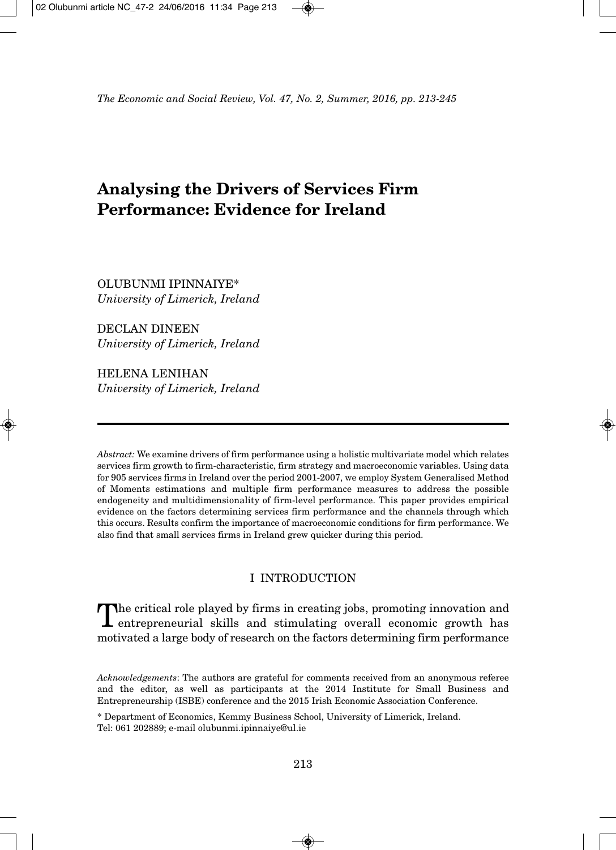# **Analysing the Drivers of Services Firm Performance: Evidence for Ireland**

OLUBUNMI IPINNAIYE\* *University of Limerick, Ireland*

DECLAN DINEEN *University of Limerick, Ireland*

HELENA LENIHAN *University of Limerick, Ireland*

*Abstract:* We examine drivers of firm performance using a holistic multivariate model which relates services firm growth to firm-characteristic, firm strategy and macroeconomic variables. Using data for 905 services firms in Ireland over the period 2001-2007, we employ System Generalised Method of Moments estimations and multiple firm performance measures to address the possible endogeneity and multidimensionality of firm-level performance. This paper provides empirical evidence on the factors determining services firm performance and the channels through which this occurs. Results confirm the importance of macroeconomic conditions for firm performance. We also find that small services firms in Ireland grew quicker during this period.

# I INTRODUCTION

The critical role played by firms in creating jobs, promoting innovation and entrepreneurial skills and stimulating overall economic growth has motivated a large body of research on the factors determining firm performance

*Acknowledgements*: The authors are grateful for comments received from an anonymous referee and the editor, as well as participants at the 2014 Institute for Small Business and Entrepreneurship (ISBE) conference and the 2015 Irish Economic Association Conference.

\* Department of Economics, Kemmy Business School, University of Limerick, Ireland. Tel: 061 202889; e-mail olubunmi.ipinnaiye@ul.ie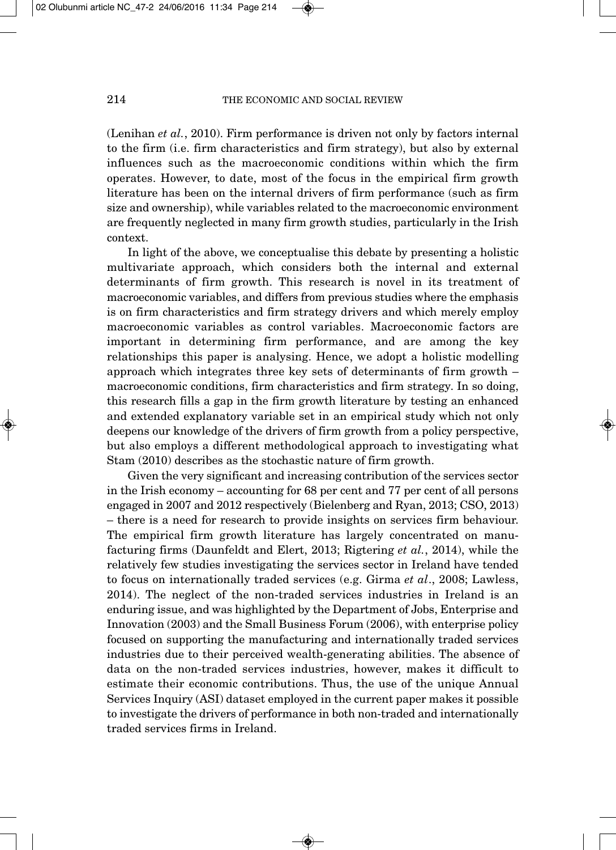(Lenihan *et al.*, 2010). Firm performance is driven not only by factors internal to the firm (i.e. firm characteristics and firm strategy), but also by external influences such as the macroeconomic conditions within which the firm operates. However, to date, most of the focus in the empirical firm growth literature has been on the internal drivers of firm performance (such as firm size and ownership), while variables related to the macroeconomic environment are frequently neglected in many firm growth studies, particularly in the Irish context.

In light of the above, we conceptualise this debate by presenting a holistic multivariate approach, which considers both the internal and external determinants of firm growth. This research is novel in its treatment of macroeconomic variables, and differs from previous studies where the emphasis is on firm characteristics and firm strategy drivers and which merely employ macroeconomic variables as control variables. Macroeconomic factors are important in determining firm performance, and are among the key relationships this paper is analysing. Hence, we adopt a holistic modelling approach which integrates three key sets of determinants of firm growth – macroeconomic conditions, firm characteristics and firm strategy. In so doing, this research fills a gap in the firm growth literature by testing an enhanced and extended explanatory variable set in an empirical study which not only deepens our knowledge of the drivers of firm growth from a policy perspective, but also employs a different methodological approach to investigating what Stam (2010) describes as the stochastic nature of firm growth.

Given the very significant and increasing contribution of the services sector in the Irish economy – accounting for 68 per cent and 77 per cent of all persons engaged in 2007 and 2012 respectively (Bielenberg and Ryan, 2013; CSO, 2013) – there is a need for research to provide insights on services firm behaviour. The empirical firm growth literature has largely concentrated on manufacturing firms (Daunfeldt and Elert, 2013; Rigtering *et al.*, 2014), while the relatively few studies investigating the services sector in Ireland have tended to focus on internationally traded services (e.g. Girma *et al*., 2008; Lawless, 2014). The neglect of the non-traded services industries in Ireland is an enduring issue, and was highlighted by the Department of Jobs, Enterprise and Innovation (2003) and the Small Business Forum (2006), with enterprise policy focused on supporting the manufacturing and internationally traded services industries due to their perceived wealth-generating abilities. The absence of data on the non-traded services industries, however, makes it difficult to estimate their economic contributions. Thus, the use of the unique Annual Services Inquiry (ASI) dataset employed in the current paper makes it possible to investigate the drivers of performance in both non-traded and internationally traded services firms in Ireland.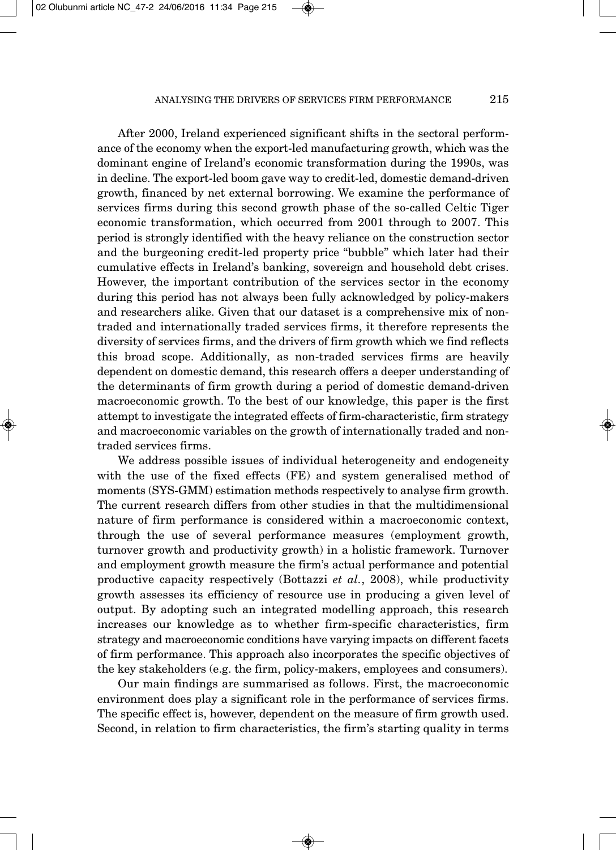After 2000, Ireland experienced significant shifts in the sectoral perform ance of the economy when the export-led manufacturing growth, which was the dominant engine of Ireland's economic transformation during the 1990s, was in decline. The export-led boom gave way to credit-led, domestic demand-driven growth, financed by net external borrowing. We examine the performance of services firms during this second growth phase of the so-called Celtic Tiger economic transformation, which occurred from 2001 through to 2007. This period is strongly identified with the heavy reliance on the construction sector and the burgeoning credit-led property price "bubble" which later had their cumulative effects in Ireland's banking, sovereign and household debt crises. However, the important contribution of the services sector in the economy during this period has not always been fully acknowledged by policy-makers and researchers alike. Given that our dataset is a comprehensive mix of nontraded and internationally traded services firms, it therefore represents the diversity of services firms, and the drivers of firm growth which we find reflects this broad scope. Additionally, as non-traded services firms are heavily dependent on domestic demand, this research offers a deeper understanding of the determinants of firm growth during a period of domestic demand-driven macroeconomic growth. To the best of our knowledge, this paper is the first attempt to investigate the integrated effects of firm-characteristic, firm strategy and macroeconomic variables on the growth of internationally traded and nontraded services firms.

We address possible issues of individual heterogeneity and endogeneity with the use of the fixed effects (FE) and system generalised method of moments (SYS-GMM) estimation methods respectively to analyse firm growth. The current research differs from other studies in that the multidimensional nature of firm performance is considered within a macroeconomic context, through the use of several performance measures (employment growth, turnover growth and productivity growth) in a holistic framework. Turnover and employment growth measure the firm's actual performance and potential productive capacity respectively (Bottazzi *et al.*, 2008), while productivity growth assesses its efficiency of resource use in producing a given level of output. By adopting such an integrated modelling approach, this research increases our knowledge as to whether firm-specific characteristics, firm strategy and macroeconomic conditions have varying impacts on different facets of firm performance. This approach also incorporates the specific objectives of the key stakeholders (e.g. the firm, policy-makers, employees and consumers).

Our main findings are summarised as follows. First, the macroeconomic environment does play a significant role in the performance of services firms. The specific effect is, however, dependent on the measure of firm growth used. Second, in relation to firm characteristics, the firm's starting quality in terms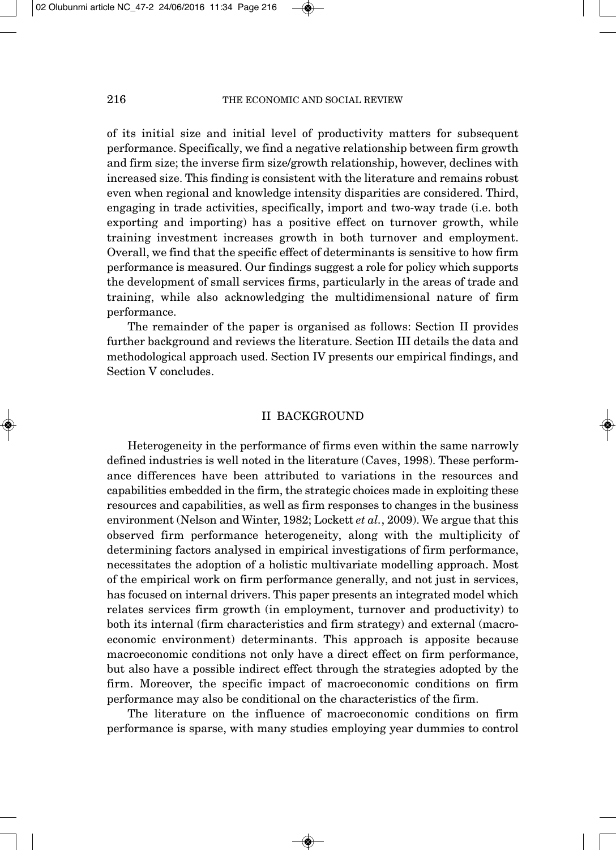of its initial size and initial level of productivity matters for subsequent performance. Specifically, we find a negative relationship between firm growth and firm size; the inverse firm size/growth relationship, however, declines with increased size. This finding is consistent with the literature and remains robust even when regional and knowledge intensity disparities are considered. Third, engaging in trade activities, specifically, import and two-way trade (i.e. both exporting and importing) has a positive effect on turnover growth, while training investment increases growth in both turnover and employment. Overall, we find that the specific effect of determinants is sensitive to how firm performance is measured. Our findings suggest a role for policy which supports the development of small services firms, particularly in the areas of trade and training, while also acknowledging the multidimensional nature of firm performance.

The remainder of the paper is organised as follows: Section II provides further background and reviews the literature. Section III details the data and methodological approach used. Section IV presents our empirical findings, and Section V concludes.

### II BACKGROUND

Heterogeneity in the performance of firms even within the same narrowly defined industries is well noted in the literature (Caves, 1998). These perform ance differences have been attributed to variations in the resources and capabilities embedded in the firm, the strategic choices made in exploiting these resources and capabilities, as well as firm responses to changes in the business environment (Nelson and Winter, 1982; Lockett *et al.*, 2009). We argue that this observed firm performance heterogeneity, along with the multiplicity of determining factors analysed in empirical investigations of firm performance, necessitates the adoption of a holistic multivariate modelling approach. Most of the empirical work on firm performance generally, and not just in services, has focused on internal drivers. This paper presents an integrated model which relates services firm growth (in employment, turnover and productivity) to both its internal (firm characteristics and firm strategy) and external (macroeconomic environment) determinants. This approach is apposite because macroeconomic conditions not only have a direct effect on firm performance, but also have a possible indirect effect through the strategies adopted by the firm. Moreover, the specific impact of macroeconomic conditions on firm performance may also be conditional on the characteristics of the firm.

The literature on the influence of macroeconomic conditions on firm performance is sparse, with many studies employing year dummies to control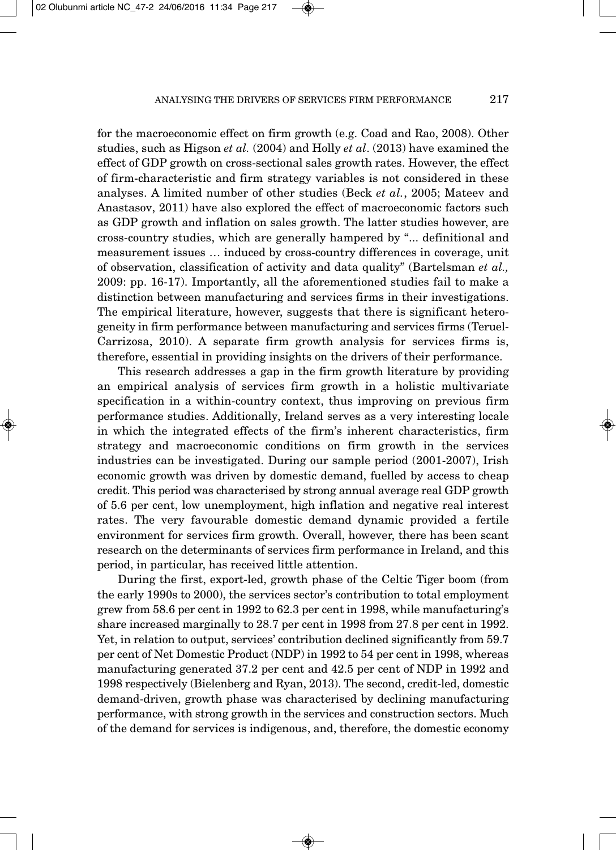for the macroeconomic effect on firm growth (e.g. Coad and Rao, 2008). Other studies, such as Higson *et al.* (2004) and Holly *et al*. (2013) have examined the effect of GDP growth on cross-sectional sales growth rates. However, the effect of firm-characteristic and firm strategy variables is not considered in these analyses. A limited number of other studies (Beck *et al.*, 2005; Mateev and Anastasov, 2011) have also explored the effect of macroeconomic factors such as GDP growth and inflation on sales growth. The latter studies however, are cross-country studies, which are generally hampered by "... definitional and measurement issues … induced by cross-country differences in coverage, unit of observation, classification of activity and data quality" (Bartelsman *et al.,* 2009: pp. 16-17). Importantly, all the aforementioned studies fail to make a distinction between manufacturing and services firms in their investigations. The empirical literature, however, suggests that there is significant heterogeneity in firm performance between manufacturing and services firms (Teruel-Carrizosa, 2010). A separate firm growth analysis for services firms is, therefore, essential in providing insights on the drivers of their performance.

This research addresses a gap in the firm growth literature by providing an empirical analysis of services firm growth in a holistic multivariate specification in a within-country context, thus improving on previous firm performance studies. Additionally, Ireland serves as a very interesting locale in which the integrated effects of the firm's inherent characteristics, firm strategy and macroeconomic conditions on firm growth in the services industries can be investigated. During our sample period (2001-2007), Irish economic growth was driven by domestic demand, fuelled by access to cheap credit. This period was characterised by strong annual average real GDP growth of 5.6 per cent, low unemployment, high inflation and negative real interest rates. The very favourable domestic demand dynamic provided a fertile environment for services firm growth. Overall, however, there has been scant research on the determinants of services firm performance in Ireland, and this period, in particular, has received little attention.

During the first, export-led, growth phase of the Celtic Tiger boom (from the early 1990s to 2000), the services sector's contribution to total employment grew from 58.6 per cent in 1992 to 62.3 per cent in 1998, while manufacturing's share increased marginally to 28.7 per cent in 1998 from 27.8 per cent in 1992. Yet, in relation to output, services' contribution declined significantly from 59.7 per cent of Net Domestic Product (NDP) in 1992 to 54 per cent in 1998, whereas manufacturing generated 37.2 per cent and 42.5 per cent of NDP in 1992 and 1998 respectively (Bielenberg and Ryan, 2013). The second, credit-led, domestic demand-driven, growth phase was characterised by declining manufacturing performance, with strong growth in the services and construction sectors. Much of the demand for services is indigenous, and, therefore, the domestic economy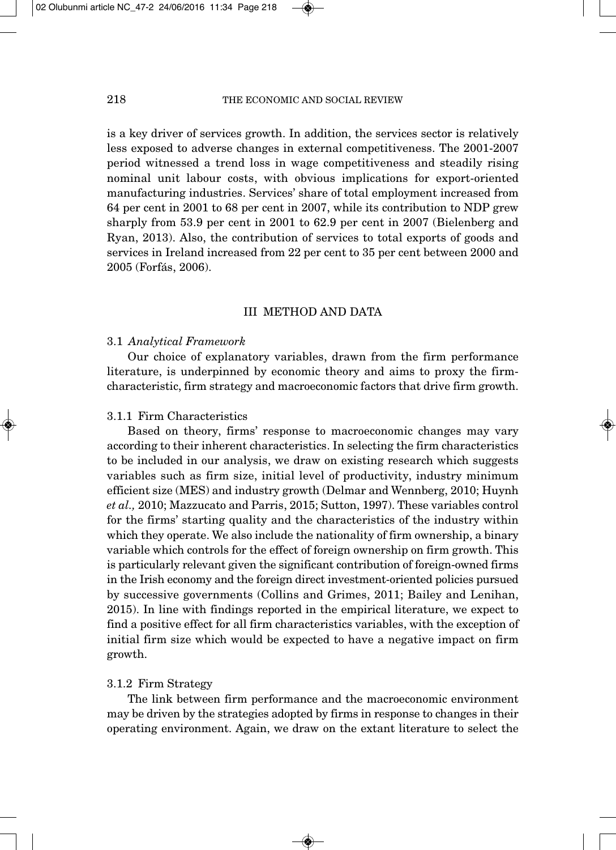is a key driver of services growth. In addition, the services sector is relatively less exposed to adverse changes in external competitiveness. The 2001-2007 period witnessed a trend loss in wage competitiveness and steadily rising nominal unit labour costs, with obvious implications for export-oriented manufacturing industries. Services' share of total employment increased from 64 per cent in 2001 to 68 per cent in 2007, while its contribution to NDP grew sharply from 53.9 per cent in 2001 to 62.9 per cent in 2007 (Bielenberg and Ryan, 2013). Also, the contribution of services to total exports of goods and services in Ireland increased from 22 per cent to 35 per cent between 2000 and 2005 (Forfás, 2006).

## III METHOD AND DATA

#### 3.1 *Analytical Framework*

Our choice of explanatory variables, drawn from the firm performance literature, is underpinned by economic theory and aims to proxy the firmcharacteristic, firm strategy and macroeconomic factors that drive firm growth.

# 3.1.1 Firm Characteristics

Based on theory, firms' response to macroeconomic changes may vary according to their inherent characteristics. In selecting the firm characteristics to be included in our analysis, we draw on existing research which suggests variables such as firm size, initial level of productivity, industry minimum efficient size (MES) and industry growth (Delmar and Wennberg, 2010; Huynh *et al.,* 2010; Mazzucato and Parris, 2015; Sutton, 1997). These variables control for the firms' starting quality and the characteristics of the industry within which they operate. We also include the nationality of firm ownership, a binary variable which controls for the effect of foreign ownership on firm growth. This is particularly relevant given the significant contribution of foreign-owned firms in the Irish economy and the foreign direct investment-oriented policies pursued by successive governments (Collins and Grimes, 2011; Bailey and Lenihan, 2015). In line with findings reported in the empirical literature, we expect to find a positive effect for all firm characteristics variables, with the exception of initial firm size which would be expected to have a negative impact on firm growth.

#### 3.1.2 Firm Strategy

The link between firm performance and the macroeconomic environment may be driven by the strategies adopted by firms in response to changes in their operating environment. Again, we draw on the extant literature to select the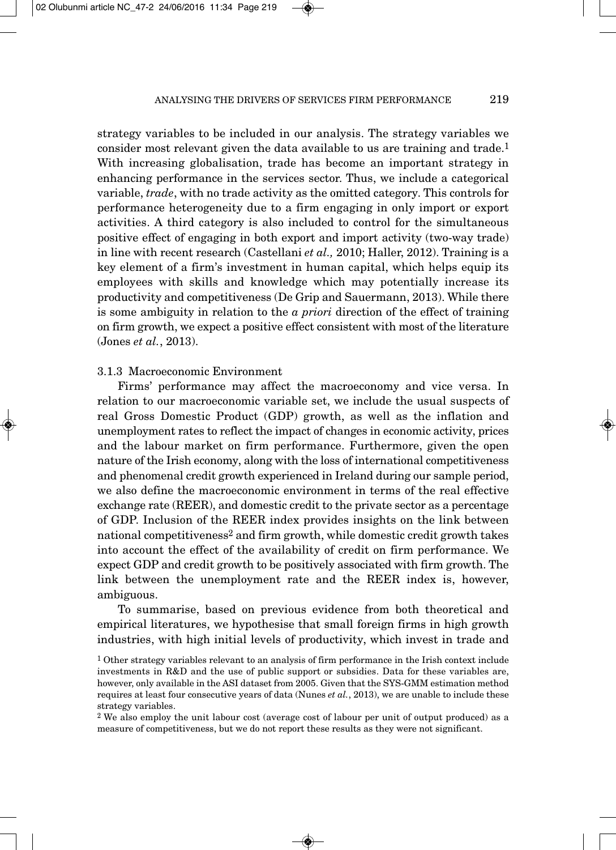strategy variables to be included in our analysis. The strategy variables we consider most relevant given the data available to us are training and trade.1 With increasing globalisation, trade has become an important strategy in enhancing performance in the services sector. Thus, we include a categorical variable, *trade*, with no trade activity as the omitted category. This controls for performance heterogeneity due to a firm engaging in only import or export activities. A third category is also included to control for the simultaneous positive effect of engaging in both export and import activity (two-way trade) in line with recent research (Castellani *et al.,* 2010; Haller, 2012). Training is a key element of a firm's investment in human capital, which helps equip its employees with skills and knowledge which may potentially increase its productivity and competitiveness (De Grip and Sauermann, 2013). While there is some ambiguity in relation to the *a priori* direction of the effect of training on firm growth, we expect a positive effect consistent with most of the literature (Jones *et al.*, 2013).

## 3.1.3 Macroeconomic Environment

Firms' performance may affect the macroeconomy and vice versa. In relation to our macroeconomic variable set, we include the usual suspects of real Gross Domestic Product (GDP) growth, as well as the inflation and unemployment rates to reflect the impact of changes in economic activity, prices and the labour market on firm performance. Furthermore, given the open nature of the Irish economy, along with the loss of international competitiveness and phenomenal credit growth experienced in Ireland during our sample period, we also define the macroeconomic environment in terms of the real effective exchange rate (REER), and domestic credit to the private sector as a percentage of GDP. Inclusion of the REER index provides insights on the link between national competitiveness<sup>2</sup> and firm growth, while domestic credit growth takes into account the effect of the availability of credit on firm performance. We expect GDP and credit growth to be positively associated with firm growth. The link between the unemployment rate and the REER index is, however, ambiguous.

To summarise, based on previous evidence from both theoretical and empirical literatures, we hypothesise that small foreign firms in high growth industries, with high initial levels of productivity, which invest in trade and

<sup>1</sup> Other strategy variables relevant to an analysis of firm performance in the Irish context include investments in R&D and the use of public support or subsidies. Data for these variables are, however, only available in the ASI dataset from 2005. Given that the SYS-GMM estimation method requires at least four consecutive years of data (Nunes *et al.*, 2013), we are unable to include these strategy variables.

<sup>2</sup> We also employ the unit labour cost (average cost of labour per unit of output produced) as a measure of competitiveness, but we do not report these results as they were not significant.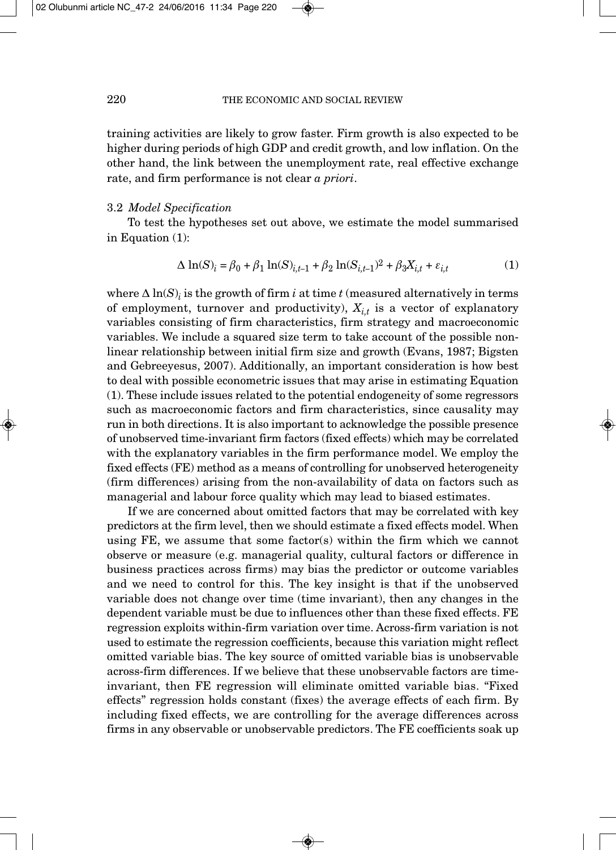training activities are likely to grow faster. Firm growth is also expected to be higher during periods of high GDP and credit growth, and low inflation. On the other hand, the link between the unemployment rate, real effective exchange rate, and firm performance is not clear *a priori*.

#### 3.2 *Model Specification*

To test the hypotheses set out above, we estimate the model summarised in Equation (1):

$$
\Delta \ln(S)_i = \beta_0 + \beta_1 \ln(S)_{i,t-1} + \beta_2 \ln(S_{i,t-1})^2 + \beta_3 X_{i,t} + \varepsilon_{i,t}
$$
 (1)

where  $\Delta \ln(S)$ *i* is the growth of firm *i* at time *t* (measured alternatively in terms of employment, turnover and productivity),  $X_{i,t}$  is a vector of explanatory variables consisting of firm characteristics, firm strategy and macroeconomic variables. We include a squared size term to take account of the possible nonlinear relationship between initial firm size and growth (Evans, 1987; Bigsten and Gebreeyesus, 2007). Additionally, an important consideration is how best to deal with possible econometric issues that may arise in estimating Equation (1). These include issues related to the potential endogeneity of some regressors such as macroeconomic factors and firm characteristics, since causality may run in both directions. It is also important to acknowledge the possible presence of unobserved time-invariant firm factors (fixed effects) which may be correlated with the explanatory variables in the firm performance model. We employ the fixed effects (FE) method as a means of controlling for unobserved heterogeneity (firm differences) arising from the non-availability of data on factors such as managerial and labour force quality which may lead to biased estimates.

If we are concerned about omitted factors that may be correlated with key predictors at the firm level, then we should estimate a fixed effects model. When using FE, we assume that some factor(s) within the firm which we cannot observe or measure (e.g. managerial quality, cultural factors or difference in business practices across firms) may bias the predictor or outcome variables and we need to control for this. The key insight is that if the unobserved variable does not change over time (time invariant), then any changes in the dependent variable must be due to influences other than these fixed effects. FE regression exploits within-firm variation over time. Across-firm variation is not used to estimate the regression coefficients, because this variation might reflect omitted variable bias. The key source of omitted variable bias is unobservable across-firm differences. If we believe that these unobservable factors are timeinvariant, then FE regression will eliminate omitted variable bias. "Fixed effects" regression holds constant (fixes) the average effects of each firm. By including fixed effects, we are controlling for the average differences across firms in any observable or unobservable predictors. The FE coefficients soak up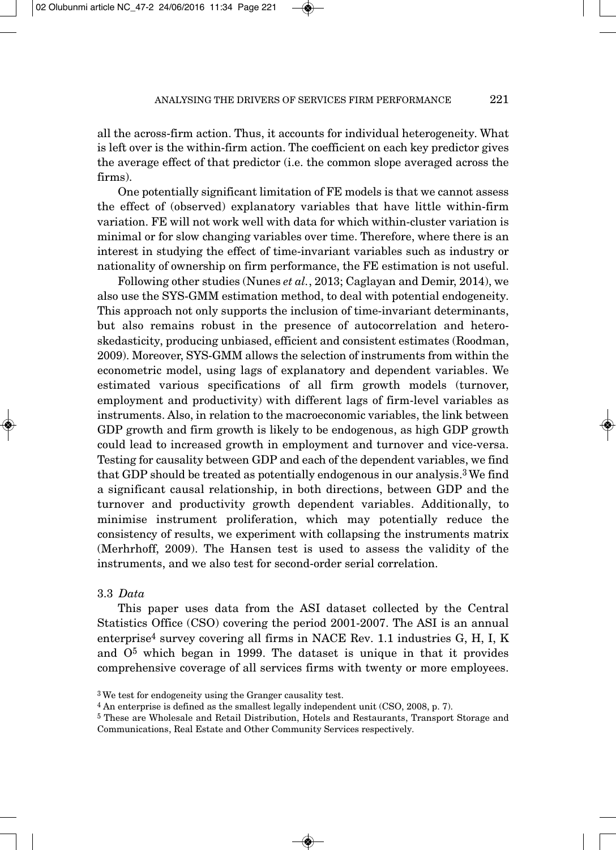all the across-firm action. Thus, it accounts for individual heterogeneity. What is left over is the within-firm action. The coefficient on each key predictor gives the average effect of that predictor (i.e. the common slope averaged across the firms).

One potentially significant limitation of FE models is that we cannot assess the effect of (observed) explanatory variables that have little within-firm variation. FE will not work well with data for which within-cluster variation is minimal or for slow changing variables over time. Therefore, where there is an interest in studying the effect of time-invariant variables such as industry or nationality of ownership on firm performance, the FE estimation is not useful.

Following other studies (Nunes *et al.*, 2013; Caglayan and Demir, 2014), we also use the SYS-GMM estimation method, to deal with potential endogeneity. This approach not only supports the inclusion of time-invariant determinants, but also remains robust in the presence of autocorrelation and heteroskedasticity, producing unbiased, efficient and consistent estimates (Roodman, 2009). Moreover, SYS-GMM allows the selection of instruments from within the econometric model, using lags of explanatory and dependent variables. We estimated various specifications of all firm growth models (turnover, employment and productivity) with different lags of firm-level variables as instruments. Also, in relation to the macroeconomic variables, the link between GDP growth and firm growth is likely to be endogenous, as high GDP growth could lead to increased growth in employment and turnover and vice-versa. Testing for causality between GDP and each of the dependent variables, we find that GDP should be treated as potentially endogenous in our analysis.3 We find a significant causal relationship, in both directions, between GDP and the turnover and productivity growth dependent variables. Additionally, to minimise instrument proliferation, which may potentially reduce the consistency of results, we experiment with collapsing the instruments matrix (Merhrhoff, 2009). The Hansen test is used to assess the validity of the instruments, and we also test for second-order serial correlation.

#### 3.3 *Data*

This paper uses data from the ASI dataset collected by the Central Statistics Office (CSO) covering the period 2001-2007. The ASI is an annual enterprise<sup>4</sup> survey covering all firms in NACE Rev. 1.1 industries G, H, I, K and  $0<sup>5</sup>$  which began in 1999. The dataset is unique in that it provides comprehensive coverage of all services firms with twenty or more employees.

<sup>3</sup> We test for endogeneity using the Granger causality test.

<sup>4</sup> An enterprise is defined as the smallest legally independent unit (CSO, 2008, p. 7).

<sup>5</sup> These are Wholesale and Retail Distribution, Hotels and Restaurants, Transport Storage and Communications, Real Estate and Other Community Services respectively.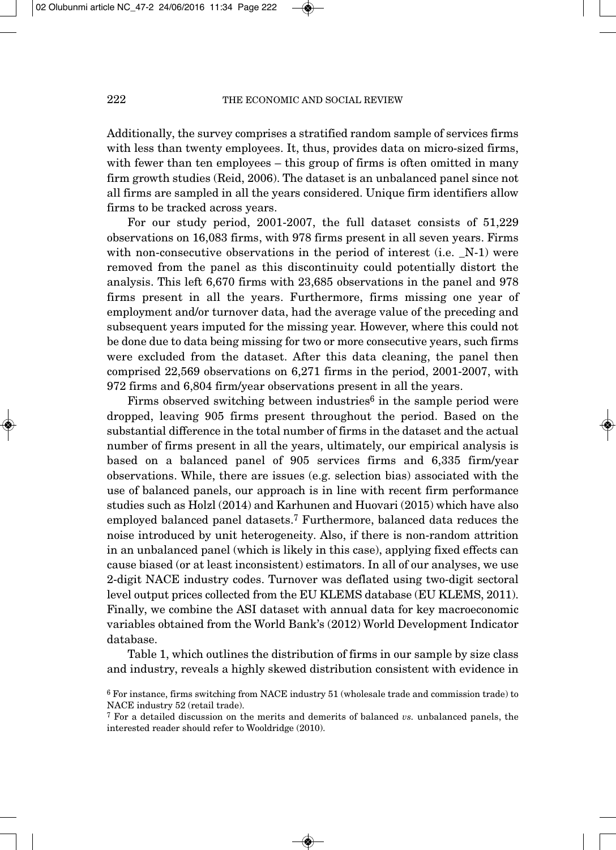Additionally, the survey comprises a stratified random sample of services firms with less than twenty employees. It, thus, provides data on micro-sized firms, with fewer than ten employees – this group of firms is often omitted in many firm growth studies (Reid, 2006). The dataset is an unbalanced panel since not all firms are sampled in all the years considered. Unique firm identifiers allow firms to be tracked across years.

For our study period, 2001-2007, the full dataset consists of 51,229 observations on 16,083 firms, with 978 firms present in all seven years. Firms with non-consecutive observations in the period of interest (i.e.  $[N-1]$ ) were removed from the panel as this discontinuity could potentially distort the analysis. This left 6,670 firms with 23,685 observations in the panel and 978 firms present in all the years. Furthermore, firms missing one year of employment and/or turnover data, had the average value of the preceding and subsequent years imputed for the missing year. However, where this could not be done due to data being missing for two or more consecutive years, such firms were excluded from the dataset. After this data cleaning, the panel then comprised 22,569 observations on 6,271 firms in the period, 2001-2007, with 972 firms and 6,804 firm/year observations present in all the years.

Firms observed switching between industries<sup>6</sup> in the sample period were dropped, leaving 905 firms present throughout the period. Based on the substantial difference in the total number of firms in the dataset and the actual number of firms present in all the years, ultimately, our empirical analysis is based on a balanced panel of 905 services firms and 6,335 firm/year observations. While, there are issues (e.g. selection bias) associated with the use of balanced panels, our approach is in line with recent firm performance studies such as Holzl (2014) and Karhunen and Huovari (2015) which have also employed balanced panel datasets.7 Furthermore, balanced data reduces the noise introduced by unit heterogeneity. Also, if there is non-random attrition in an unbalanced panel (which is likely in this case), applying fixed effects can cause biased (or at least inconsistent) estimators. In all of our analyses, we use 2-digit NACE industry codes. Turnover was deflated using two-digit sectoral level output prices collected from the EU KLEMS database (EU KLEMS, 2011). Finally, we combine the ASI dataset with annual data for key macroeconomic variables obtained from the World Bank's (2012) World Development Indicator database.

Table 1, which outlines the distribution of firms in our sample by size class and industry, reveals a highly skewed distribution consistent with evidence in

<sup>6</sup> For instance, firms switching from NACE industry 51 (wholesale trade and commission trade) to NACE industry 52 (retail trade).

<sup>7</sup> For a detailed discussion on the merits and demerits of balanced *vs.* unbalanced panels, the interested reader should refer to Wooldridge (2010).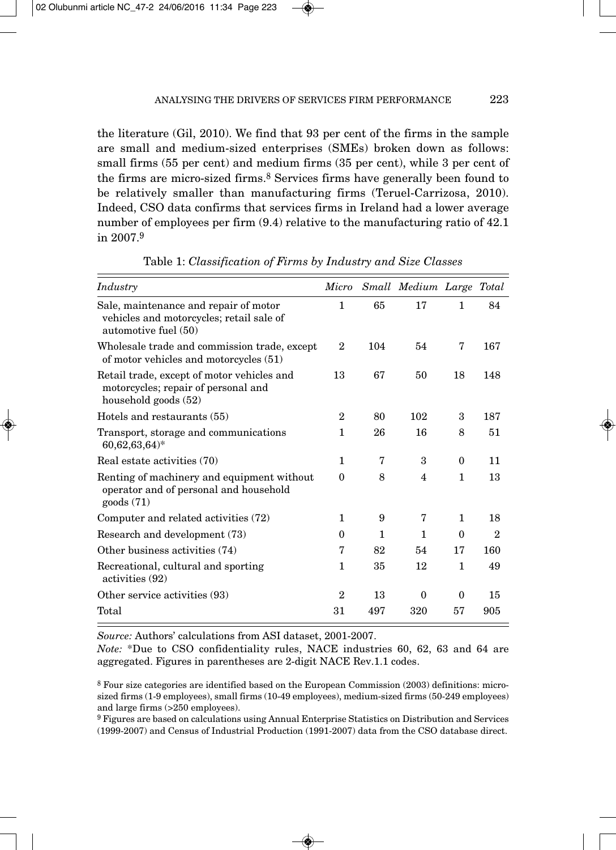the literature (Gil, 2010). We find that 93 per cent of the firms in the sample are small and medium-sized enterprises (SMEs) broken down as follows: small firms (55 per cent) and medium firms (35 per cent), while 3 per cent of the firms are micro-sized firms.8 Services firms have generally been found to be relatively smaller than manufacturing firms (Teruel-Carrizosa, 2010). Indeed, CSO data confirms that services firms in Ireland had a lower average number of employees per firm (9.4) relative to the manufacturing ratio of 42.1 in 2007.9

| Industry                                                                                                    |                |     | Micro Small Medium Large Total |              |              |
|-------------------------------------------------------------------------------------------------------------|----------------|-----|--------------------------------|--------------|--------------|
| Sale, maintenance and repair of motor<br>vehicles and motorcycles; retail sale of<br>automotive fuel (50)   | $\mathbf{1}$   | 65  | 17                             | $\mathbf{1}$ | 84           |
| Wholesale trade and commission trade, except<br>of motor vehicles and motorcycles $(51)$                    | $\overline{2}$ | 104 | 54                             | 7            | 167          |
| Retail trade, except of motor vehicles and<br>motorcycles; repair of personal and<br>household goods (52)   | 13             | 67  | 50                             | 18           | 148          |
| Hotels and restaurants (55)                                                                                 | $\mathbf 2$    | 80  | 102                            | 3            | 187          |
| Transport, storage and communications<br>$60,62,63,64$ <sup>*</sup>                                         | 1              | 26  | 16                             | 8            | 51           |
| Real estate activities (70)                                                                                 | 1              | 7   | 3                              | $\theta$     | 11           |
| Renting of machinery and equipment without<br>operator and of personal and household<br>$\text{goods}$ (71) | $\mathbf{0}$   | 8   | 4                              | $\mathbf{1}$ | 13           |
| Computer and related activities (72)                                                                        | 1              | 9   | 7                              | $\mathbf{1}$ | 18           |
| Research and development (73)                                                                               | $\theta$       | 1   | $\mathbf{1}$                   | $\theta$     | $\mathbf{2}$ |
| Other business activities (74)                                                                              | 7              | 82  | 54                             | 17           | 160          |
| Recreational, cultural and sporting<br>activities (92)                                                      | 1              | 35  | 12                             | 1            | 49           |
| Other service activities (93)                                                                               | $\mathbf{2}$   | 13  | $\Omega$                       | $\theta$     | 15           |
| Total                                                                                                       | 31             | 497 | 320                            | 57           | 905          |

Table 1: *Classification of Firms by Industry and Size Classes*

*Source:* Authors' calculations from ASI dataset, 2001-2007.

*Note:* \*Due to CSO confidentiality rules, NACE industries 60, 62, 63 and 64 are aggregated. Figures in parentheses are 2-digit NACE Rev.1.1 codes.

<sup>8</sup> Four size categories are identified based on the European Commission (2003) definitions: microsized firms (1-9 employees), small firms (10-49 employees), medium-sized firms (50-249 employees) and large firms (>250 employees).

<sup>9</sup> Figures are based on calculations using Annual Enterprise Statistics on Distribution and Services (1999-2007) and Census of Industrial Production (1991-2007) data from the CSO database direct.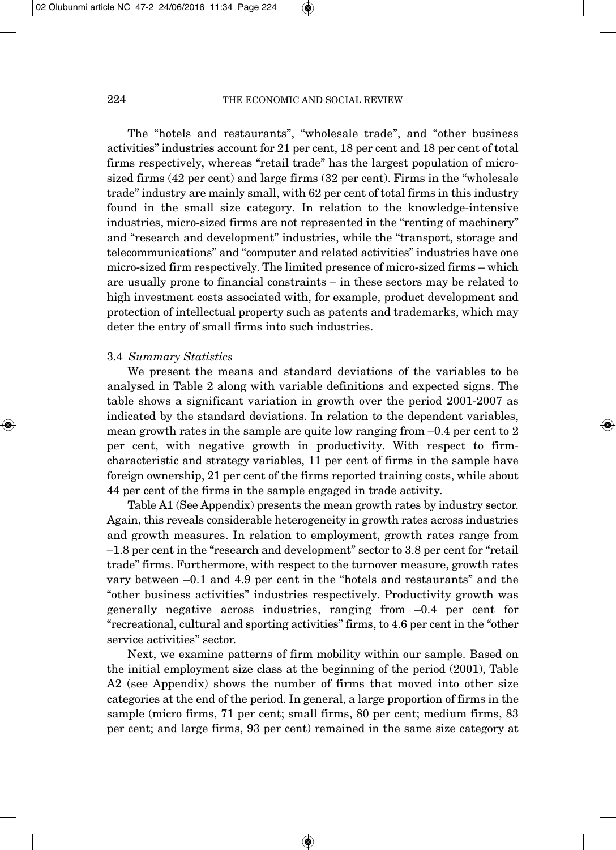The "hotels and restaurants", "wholesale trade", and "other business activities" industries account for 21 per cent, 18 per cent and 18 per cent of total firms respectively, whereas "retail trade" has the largest population of microsized firms (42 per cent) and large firms (32 per cent). Firms in the "wholesale trade" industry are mainly small, with 62 per cent of total firms in this industry found in the small size category. In relation to the knowledge-intensive industries, micro-sized firms are not represented in the "renting of machinery" and "research and development" industries, while the "transport, storage and telecommunica tions" and "computer and related activities" industries have one micro-sized firm respectively. The limited presence of micro-sized firms – which are usually prone to financial constraints – in these sectors may be related to high investment costs associated with, for example, product development and protection of intellectual property such as patents and trademarks, which may deter the entry of small firms into such industries.

#### 3.4 *Summary Statistics*

We present the means and standard deviations of the variables to be analysed in Table 2 along with variable definitions and expected signs. The table shows a significant variation in growth over the period 2001-2007 as indicated by the standard deviations. In relation to the dependent variables, mean growth rates in the sample are quite low ranging from –0.4 per cent to 2 per cent, with negative growth in productivity. With respect to firmcharacteristic and strategy variables, 11 per cent of firms in the sample have foreign ownership, 21 per cent of the firms reported training costs, while about 44 per cent of the firms in the sample engaged in trade activity.

Table A1 (See Appendix) presents the mean growth rates by industry sector. Again, this reveals considerable heterogeneity in growth rates across industries and growth measures. In relation to employment, growth rates range from –1.8 per cent in the "research and development" sector to 3.8 per cent for "retail trade" firms. Furthermore, with respect to the turnover measure, growth rates vary between –0.1 and 4.9 per cent in the "hotels and restaurants" and the "other business activities" industries respectively. Productivity growth was generally negative across industries, ranging from –0.4 per cent for "recreational, cultural and sporting activities" firms, to 4.6 per cent in the "other service activities" sector.

Next, we examine patterns of firm mobility within our sample. Based on the initial employment size class at the beginning of the period (2001), Table A2 (see Appendix) shows the number of firms that moved into other size categories at the end of the period. In general, a large proportion of firms in the sample (micro firms, 71 per cent; small firms, 80 per cent; medium firms, 83 per cent; and large firms, 93 per cent) remained in the same size category at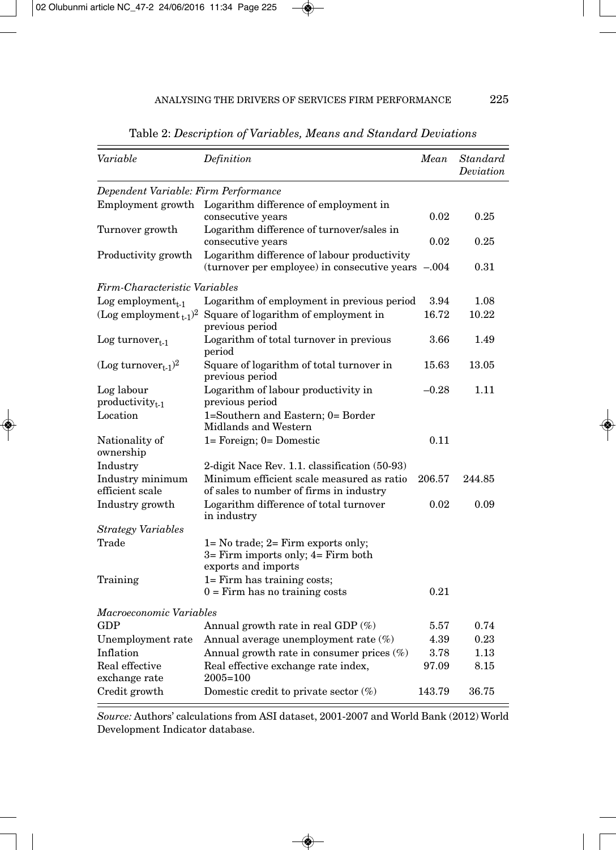| Variable                                    | Definition                                                                                            | Mean    | Standard<br>Deviation |
|---------------------------------------------|-------------------------------------------------------------------------------------------------------|---------|-----------------------|
| Dependent Variable: Firm Performance        |                                                                                                       |         |                       |
| Employment growth                           | Logarithm difference of employment in<br>consecutive years                                            | 0.02    | 0.25                  |
| Turnover growth                             | Logarithm difference of turnover/sales in<br>consecutive years                                        | 0.02    | 0.25                  |
| Productivity growth                         | Logarithm difference of labour productivity<br>(turnover per employee) in consecutive years -.004     |         | 0.31                  |
| Firm-Characteristic Variables               |                                                                                                       |         |                       |
| Log employment <sub>t-1</sub>               | Logarithm of employment in previous period                                                            | 3.94    | 1.08                  |
| (Log employment $_{t-1}$ ) <sup>2</sup>     | Square of logarithm of employment in<br>previous period                                               | 16.72   | 10.22                 |
| Log turnover $_{t-1}$                       | Logarithm of total turnover in previous<br>period                                                     | 3.66    | 1.49                  |
| (Log turnover <sub>t-1</sub> ) <sup>2</sup> | Square of logarithm of total turnover in<br>previous period                                           | 15.63   | 13.05                 |
| Log labour                                  | Logarithm of labour productivity in                                                                   | $-0.28$ | 1.11                  |
| $productivity_{t-1}$                        | previous period                                                                                       |         |                       |
| Location                                    | 1=Southern and Eastern; 0= Border<br>Midlands and Western                                             |         |                       |
| Nationality of                              | 1= Foreign; 0= Domestic                                                                               | 0.11    |                       |
| ownership                                   |                                                                                                       |         |                       |
| Industry                                    | 2-digit Nace Rev. 1.1. classification (50-93)                                                         |         |                       |
| Industry minimum<br>efficient scale         | Minimum efficient scale measured as ratio<br>of sales to number of firms in industry                  | 206.57  | 244.85                |
| Industry growth                             | Logarithm difference of total turnover<br>in industry                                                 | 0.02    | 0.09                  |
| <b>Strategy Variables</b>                   |                                                                                                       |         |                       |
| Trade                                       | $1 = No$ trade; $2 = Firm$ exports only;<br>3= Firm imports only; 4= Firm both<br>exports and imports |         |                       |
| Training                                    | 1= Firm has training costs;<br>$0 =$ Firm has no training costs                                       | 0.21    |                       |
| Macroeconomic Variables                     |                                                                                                       |         |                       |
| <b>GDP</b>                                  | Annual growth rate in real GDP (%)                                                                    | 5.57    | 0.74                  |
| Unemployment rate                           | Annual average unemployment rate (%)                                                                  | 4.39    | 0.23                  |
| Inflation                                   | Annual growth rate in consumer prices (%)                                                             | 3.78    | 1.13                  |
| Real effective<br>exchange rate             | Real effective exchange rate index,<br>$2005 = 100$                                                   | 97.09   | 8.15                  |
| Credit growth                               | Domestic credit to private sector $(\%)$                                                              | 143.79  | 36.75                 |

Table 2: *Description of Variables, Means and Standard Deviations*

*Source:* Authors' calculations from ASI dataset, 2001-2007 and World Bank (2012) World Development Indicator database.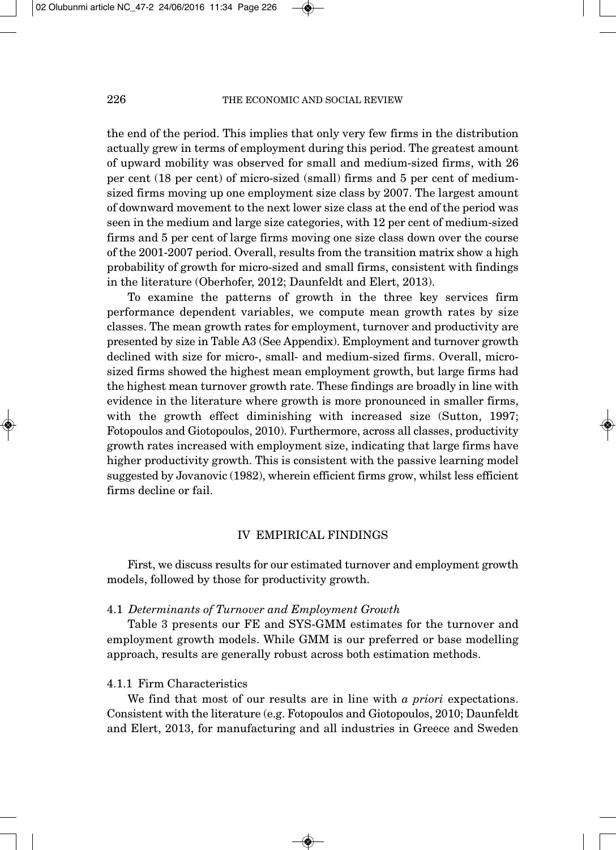the end of the period. This implies that only very few firms in the distribution actually grew in terms of employment during this period. The greatest amount of upward mobility was observed for small and medium-sized firms, with 26 per cent (18 per cent) of micro-sized (small) firms and 5 per cent of mediumsized firms moving up one employment size class by 2007. The largest amount of downward movement to the next lower size class at the end of the period was seen in the medium and large size categories, with 12 per cent of medium-sized firms and 5 per cent of large firms moving one size class down over the course of the 2001-2007 period. Overall, results from the transition matrix show a high probability of growth for micro-sized and small firms, consistent with findings in the literature (Oberhofer, 2012; Daunfeldt and Elert, 2013).

To examine the patterns of growth in the three key services firm performance dependent variables, we compute mean growth rates by size classes. The mean growth rates for employment, turnover and productivity are presented by size in Table A3 (See Appendix). Employment and turnover growth declined with size for micro-, small- and medium-sized firms. Overall, microsized firms showed the highest mean employment growth, but large firms had the highest mean turnover growth rate. These findings are broadly in line with evidence in the literature where growth is more pronounced in smaller firms, with the growth effect diminishing with increased size (Sutton, 1997; Fotopoulos and Giotopoulos, 2010). Furthermore, across all classes, productivity growth rates increased with employment size, indicating that large firms have higher productivity growth. This is consistent with the passive learning model suggested by Jovanovic (1982), wherein efficient firms grow, whilst less efficient firms decline or fail.

## IV EMPIRICAL FINDINGS

First, we discuss results for our estimated turnover and employment growth models, followed by those for productivity growth.

#### 4.1 *Determinants of Turnover and Employment Growth*

Table 3 presents our FE and SYS-GMM estimates for the turnover and employment growth models. While GMM is our preferred or base modelling approach, results are generally robust across both estimation methods.

### 4.1.1 Firm Characteristics

We find that most of our results are in line with *a priori* expectations. Consistent with the literature (e.g. Fotopoulos and Giotopoulos, 2010; Daunfeldt and Elert, 2013, for manufacturing and all industries in Greece and Sweden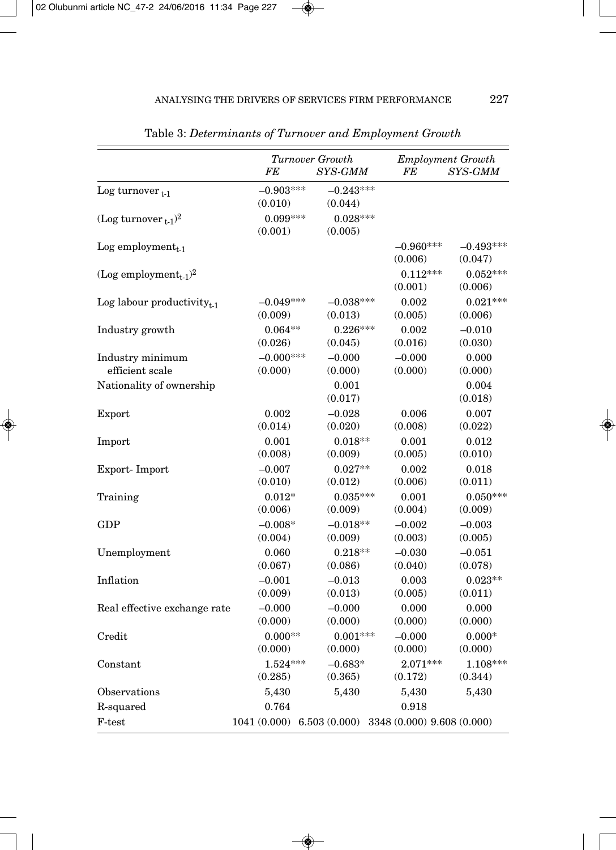|                                               | FE                                                           | Turnover Growth<br>SYS-GMM | FE                     | <b>Employment Growth</b><br>SYS-GMM |
|-----------------------------------------------|--------------------------------------------------------------|----------------------------|------------------------|-------------------------------------|
| Log turnover $_{t-1}$                         | $-0.903***$<br>(0.010)                                       | $-0.243***$<br>(0.044)     |                        |                                     |
| (Log turnover $_{t-1}$ ) <sup>2</sup>         | $0.099***$<br>(0.001)                                        | $0.028***$<br>(0.005)      |                        |                                     |
| Log employment $_{t-1}$                       |                                                              |                            | $-0.960***$<br>(0.006) | $-0.493***$<br>(0.047)              |
| (Log employment <sub>t-1</sub> ) <sup>2</sup> |                                                              |                            | $0.112***$<br>(0.001)  | $0.052***$<br>(0.006)               |
| Log labour productivity $_{t-1}$              | $-0.049***$                                                  | $-0.038***$                | 0.002                  | $0.021***$                          |
|                                               | (0.009)                                                      | (0.013)                    | (0.005)                | (0.006)                             |
| Industry growth                               | $0.064**$                                                    | $0.226***$                 | 0.002                  | $-0.010$                            |
|                                               | (0.026)                                                      | (0.045)                    | (0.016)                | (0.030)                             |
| Industry minimum                              | $-0.000***$                                                  | $-0.000$                   | $-0.000$               | 0.000                               |
| efficient scale                               | (0.000)                                                      | (0.000)                    | (0.000)                | (0.000)                             |
| Nationality of ownership                      |                                                              | 0.001<br>(0.017)           |                        | 0.004<br>(0.018)                    |
| Export                                        | 0.002                                                        | $-0.028$                   | 0.006                  | 0.007                               |
|                                               | (0.014)                                                      | (0.020)                    | (0.008)                | (0.022)                             |
| Import                                        | 0.001                                                        | $0.018**$                  | 0.001                  | 0.012                               |
|                                               | (0.008)                                                      | (0.009)                    | (0.005)                | (0.010)                             |
| Export-Import                                 | $-0.007$                                                     | $0.027**$                  | 0.002                  | 0.018                               |
|                                               | (0.010)                                                      | (0.012)                    | (0.006)                | (0.011)                             |
| Training                                      | $0.012*$                                                     | $0.035***$                 | 0.001                  | $0.050***$                          |
|                                               | (0.006)                                                      | (0.009)                    | (0.004)                | (0.009)                             |
| <b>GDP</b>                                    | $-0.008*$                                                    | $-0.018**$                 | $-0.002$               | $-0.003$                            |
|                                               | (0.004)                                                      | (0.009)                    | (0.003)                | (0.005)                             |
| Unemployment                                  | 0.060                                                        | $0.218**$                  | $-0.030$               | $-0.051$                            |
|                                               | (0.067)                                                      | (0.086)                    | (0.040)                | (0.078)                             |
| Inflation                                     | $-0.001$                                                     | $-0.013$                   | 0.003                  | $0.023**$                           |
|                                               | (0.009)                                                      | (0.013)                    | (0.005)                | (0.011)                             |
| Real effective exchange rate                  | $-0.000$                                                     | $-0.000$                   | 0.000                  | 0.000                               |
|                                               | (0.000)                                                      | (0.000)                    | (0.000)                | (0.000)                             |
| Credit                                        | $0.000**$                                                    | $0.001***$                 | $-0.000$               | $0.000*$                            |
|                                               | (0.000)                                                      | (0.000)                    | (0.000)                | (0.000)                             |
| Constant                                      | $1.524***$                                                   | $-0.683*$                  | $2.071***$             | 1.108***                            |
|                                               | (0.285)                                                      | (0.365)                    | (0.172)                | (0.344)                             |
| Observations                                  | 5,430                                                        | 5,430                      | 5,430                  | 5,430                               |
| R-squared                                     | 0.764                                                        |                            | 0.918                  |                                     |
| F-test                                        | $1041(0.000)$ 6.503 $(0.000)$ 3348 $(0.000)$ 9.608 $(0.000)$ |                            |                        |                                     |

Table 3: *Determinants of Turnover and Employment Growth*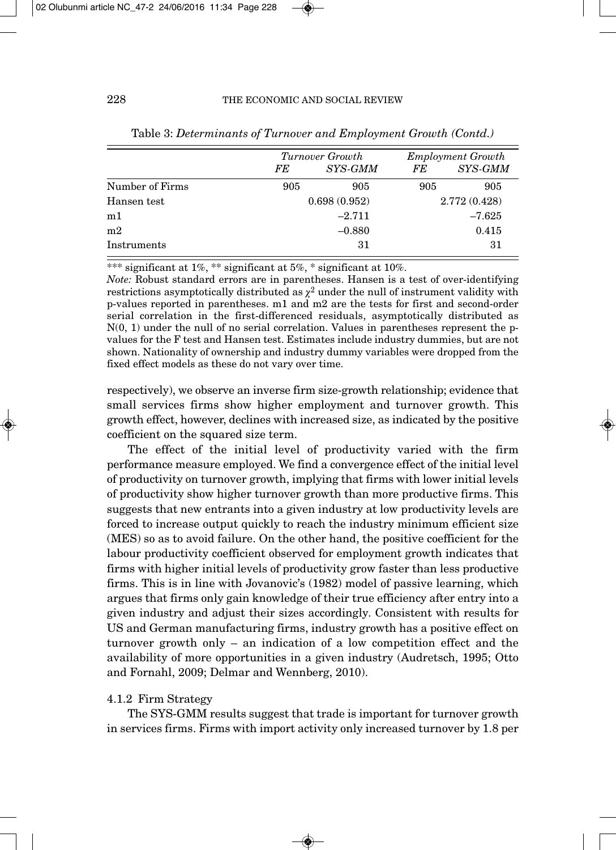|                 |     | Turnover Growth |     | <b>Employment Growth</b> |
|-----------------|-----|-----------------|-----|--------------------------|
|                 | FE  | SYS-GMM         | FE  | SYS-GMM                  |
| Number of Firms | 905 | 905             | 905 | 905                      |
| Hansen test     |     | 0.698(0.952)    |     | 2.772 (0.428)            |
| m1              |     | $-2.711$        |     | $-7.625$                 |
| m <sub>2</sub>  |     | $-0.880$        |     | 0.415                    |
| Instruments     |     | 31              |     | -31                      |

| Table 3: Determinants of Turnover and Employment Growth (Contd.) |  |  |
|------------------------------------------------------------------|--|--|
|                                                                  |  |  |

\*\*\* significant at 1%, \*\* significant at 5%, \* significant at 10%.

*Note:* Robust standard errors are in parentheses. Hansen is a test of over-identifying restrictions asymptotically distributed as  $\chi^2$  under the null of instrument validity with p-values reported in parentheses. m1 and m2 are the tests for first and second-order serial correlation in the first-differenced residuals, asymptotically distributed as  $N(0, 1)$  under the null of no serial correlation. Values in parentheses represent the pvalues for the F test and Hansen test. Estimates include industry dummies, but are not shown. Nationality of ownership and industry dummy variables were dropped from the fixed effect models as these do not vary over time.

respectively), we observe an inverse firm size-growth relationship; evidence that small services firms show higher employment and turnover growth. This growth effect, however, declines with increased size, as indicated by the positive coefficient on the squared size term.

The effect of the initial level of productivity varied with the firm performance measure employed. We find a convergence effect of the initial level of productivity on turnover growth, implying that firms with lower initial levels of productivity show higher turnover growth than more productive firms. This suggests that new entrants into a given industry at low productivity levels are forced to increase output quickly to reach the industry minimum efficient size (MES) so as to avoid failure. On the other hand, the positive coefficient for the labour productivity coefficient observed for employment growth indicates that firms with higher initial levels of productivity grow faster than less productive firms. This is in line with Jovanovic's (1982) model of passive learning, which argues that firms only gain knowledge of their true efficiency after entry into a given industry and adjust their sizes accordingly. Consistent with results for US and German manufacturing firms, industry growth has a positive effect on turnover growth only – an indication of a low competition effect and the availability of more opportunities in a given industry (Audretsch, 1995; Otto and Fornahl, 2009; Delmar and Wennberg, 2010).

# 4.1.2 Firm Strategy

The SYS-GMM results suggest that trade is important for turnover growth in services firms. Firms with import activity only increased turnover by 1.8 per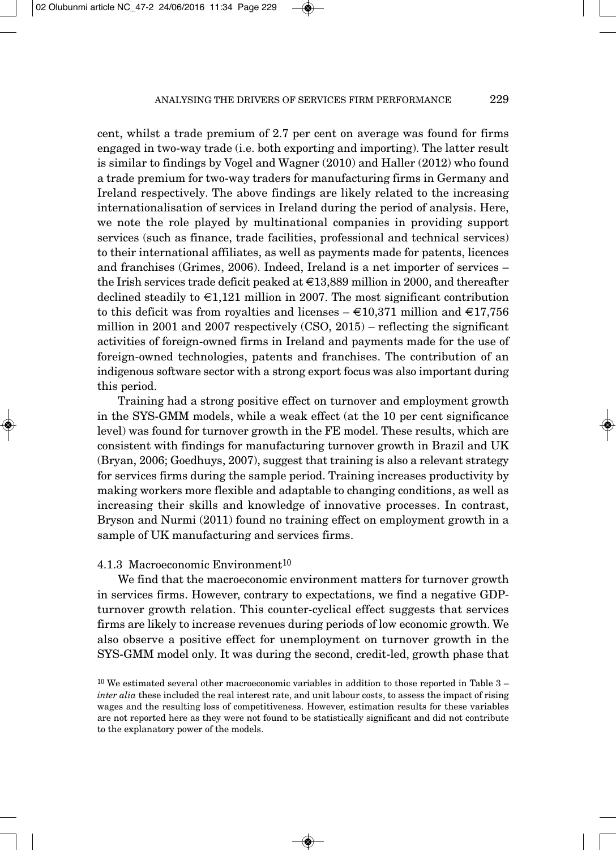cent, whilst a trade premium of 2.7 per cent on average was found for firms engaged in two-way trade (i.e. both exporting and importing). The latter result is similar to findings by Vogel and Wagner (2010) and Haller (2012) who found a trade premium for two-way traders for manufacturing firms in Germany and Ireland respectively. The above findings are likely related to the increasing internationalisation of services in Ireland during the period of analysis. Here, we note the role played by multinational companies in providing support services (such as finance, trade facilities, professional and technical services) to their international affiliates, as well as payments made for patents, licences and franchises (Grimes, 2006). Indeed, Ireland is a net importer of services – the Irish services trade deficit peaked at  $\in$  13,889 million in 2000, and thereafter declined steadily to  $\in 1,121$  million in 2007. The most significant contribution to this deficit was from royalties and licenses  $-\epsilon 10,371$  million and  $\epsilon 17,756$ million in 2001 and 2007 respectively (CSO, 2015) – reflecting the significant activities of foreign-owned firms in Ireland and payments made for the use of foreign-owned technologies, patents and franchises. The contribution of an indigenous software sector with a strong export focus was also important during this period.

Training had a strong positive effect on turnover and employment growth in the SYS-GMM models, while a weak effect (at the 10 per cent significance level) was found for turnover growth in the FE model. These results, which are consistent with findings for manufacturing turnover growth in Brazil and UK (Bryan, 2006; Goedhuys, 2007), suggest that training is also a relevant strategy for services firms during the sample period. Training increases productivity by making workers more flexible and adaptable to changing conditions, as well as increasing their skills and knowledge of innovative processes. In contrast, Bryson and Nurmi (2011) found no training effect on employment growth in a sample of UK manufacturing and services firms.

#### 4.1.3 Macroeconomic Environment<sup>10</sup>

We find that the macroeconomic environment matters for turnover growth in services firms. However, contrary to expectations, we find a negative GDPturnover growth relation. This counter-cyclical effect suggests that services firms are likely to increase revenues during periods of low economic growth. We also observe a positive effect for unemployment on turnover growth in the SYS-GMM model only. It was during the second, credit-led, growth phase that

<sup>10</sup> We estimated several other macroeconomic variables in addition to those reported in Table 3 – *inter alia* these included the real interest rate, and unit labour costs, to assess the impact of rising wages and the resulting loss of competitiveness. However, estimation results for these variables are not reported here as they were not found to be statistically significant and did not contribute to the explanatory power of the models.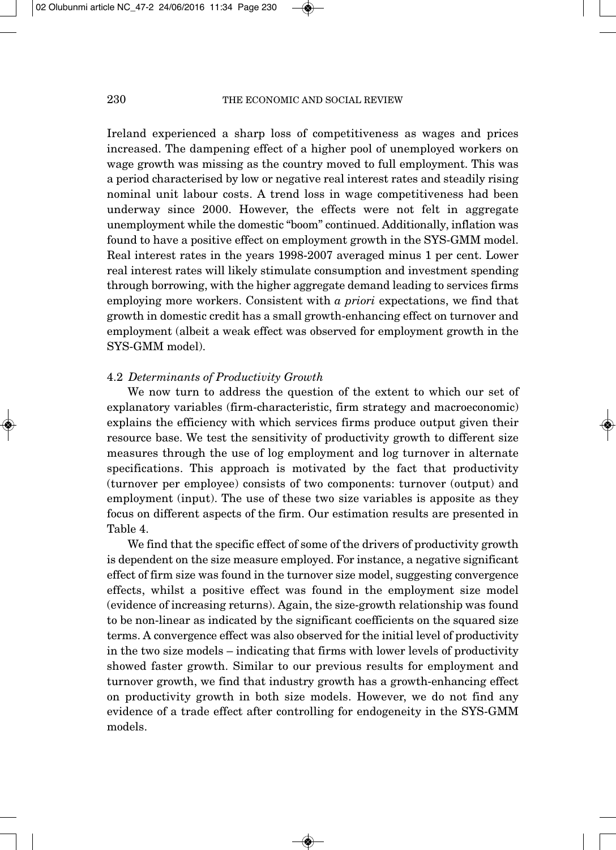Ireland experienced a sharp loss of competitiveness as wages and prices increased. The dampening effect of a higher pool of unemployed workers on wage growth was missing as the country moved to full employment. This was a period characterised by low or negative real interest rates and steadily rising nominal unit labour costs. A trend loss in wage competitiveness had been underway since 2000. However, the effects were not felt in aggregate unemployment while the domestic "boom" continued. Additionally, inflation was found to have a positive effect on employment growth in the SYS-GMM model. Real interest rates in the years 1998-2007 averaged minus 1 per cent. Lower real interest rates will likely stimulate consumption and investment spending through borrowing, with the higher aggregate demand leading to services firms employing more workers. Consistent with *a priori* expectations, we find that growth in domestic credit has a small growth-enhancing effect on turnover and employment (albeit a weak effect was observed for employment growth in the SYS-GMM model).

### 4.2 *Determinants of Productivity Growth*

We now turn to address the question of the extent to which our set of explanatory variables (firm-characteristic, firm strategy and macroeconomic) explains the efficiency with which services firms produce output given their resource base. We test the sensitivity of productivity growth to different size measures through the use of log employment and log turnover in alternate specifications. This approach is motivated by the fact that productivity (turnover per employee) consists of two components: turnover (output) and employment (input). The use of these two size variables is apposite as they focus on different aspects of the firm. Our estimation results are presented in Table 4.

We find that the specific effect of some of the drivers of productivity growth is dependent on the size measure employed. For instance, a negative significant effect of firm size was found in the turnover size model, suggesting convergence effects, whilst a positive effect was found in the employment size model (evidence of increasing returns). Again, the size-growth relationship was found to be non-linear as indicated by the significant coefficients on the squared size terms. A convergence effect was also observed for the initial level of productivity in the two size models – indicating that firms with lower levels of productivity showed faster growth. Similar to our previous results for employment and turnover growth, we find that industry growth has a growth-enhancing effect on productivity growth in both size models. However, we do not find any evidence of a trade effect after controlling for endogeneity in the SYS-GMM models.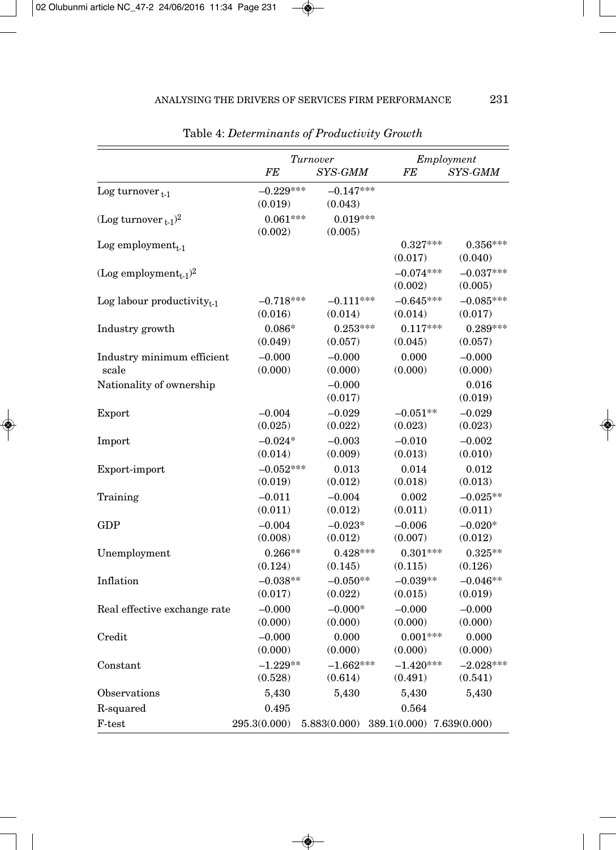|                                               |                        | Turnover                                     |                        | Employment             |
|-----------------------------------------------|------------------------|----------------------------------------------|------------------------|------------------------|
|                                               | FE                     | SYS-GMM                                      | FE                     | SYS-GMM                |
| Log turnover $_{t-1}$                         | $-0.229***$<br>(0.019) | $-0.147***$<br>(0.043)                       |                        |                        |
| (Log turnover $_{t-1}$ ) <sup>2</sup>         | $0.061***$<br>(0.002)  | $0.019***$<br>(0.005)                        |                        |                        |
| Log employment $_{t-1}$                       |                        |                                              | $0.327***$<br>(0.017)  | $0.356***$<br>(0.040)  |
| (Log employment <sub>t-1</sub> ) <sup>2</sup> |                        |                                              | $-0.074***$<br>(0.002) | $-0.037***$<br>(0.005) |
| Log labour productivity $_{t-1}$              | $-0.718***$            | $-0.111***$                                  | $-0.645***$            | $-0.085***$            |
|                                               | (0.016)                | (0.014)                                      | (0.014)                | (0.017)                |
| Industry growth                               | $0.086*$               | $0.253***$                                   | $0.117***$             | $0.289***$             |
|                                               | (0.049)                | (0.057)                                      | (0.045)                | (0.057)                |
| Industry minimum efficient                    | $-0.000$               | $-0.000$                                     | 0.000                  | $-0.000$               |
| scale                                         | (0.000)                | (0.000)                                      | (0.000)                | (0.000)                |
| Nationality of ownership                      |                        | $-0.000$<br>(0.017)                          |                        | 0.016<br>(0.019)       |
| Export                                        | $-0.004$               | $-0.029$                                     | $-0.051**$             | $-0.029$               |
|                                               | (0.025)                | (0.022)                                      | (0.023)                | (0.023)                |
| Import                                        | $-0.024*$              | $-0.003$                                     | $-0.010$               | $-0.002$               |
|                                               | (0.014)                | (0.009)                                      | (0.013)                | (0.010)                |
| Export-import                                 | $-0.052***$            | 0.013                                        | 0.014                  | 0.012                  |
|                                               | (0.019)                | (0.012)                                      | (0.018)                | (0.013)                |
| Training                                      | $-0.011$               | $-0.004$                                     | 0.002                  | $-0.025**$             |
|                                               | (0.011)                | (0.012)                                      | (0.011)                | (0.011)                |
| <b>GDP</b>                                    | $-0.004$               | $-0.023*$                                    | $-0.006$               | $-0.020*$              |
|                                               | (0.008)                | (0.012)                                      | (0.007)                | (0.012)                |
| Unemployment                                  | $0.266**$              | $0.428***$                                   | $0.301***$             | $0.325**$              |
|                                               | (0.124)                | (0.145)                                      | (0.115)                | (0.126)                |
| Inflation                                     | $-0.038**$             | $-0.050**$                                   | $-0.039**$             | $-0.046**$             |
|                                               | (0.017)                | (0.022)                                      | (0.015)                | (0.019)                |
| Real effective exchange rate                  | $-0.000$               | $-0.000*$                                    | $-0.000$               | $-0.000$               |
|                                               | (0.000)                | (0.000)                                      | (0.000)                | (0.000)                |
| Credit                                        | $-0.000$               | 0.000                                        | $0.001***$             | 0.000                  |
|                                               | (0.000)                | (0.000)                                      | (0.000)                | (0.000)                |
| Constant                                      | $-1.229**$             | $-1.662***$                                  | $-1.420***$            | $-2.028***$            |
|                                               | (0.528)                | (0.614)                                      | (0.491)                | (0.541)                |
| Observations                                  | 5,430                  | 5,430                                        | 5,430                  | 5,430                  |
| R-squared                                     | 0.495                  |                                              | 0.564                  |                        |
| $F-test$                                      | 295.3(0.000)           | $5.883(0.000)$ $389.1(0.000)$ $7.639(0.000)$ |                        |                        |

Table 4: *Determinants of Productivity Growth*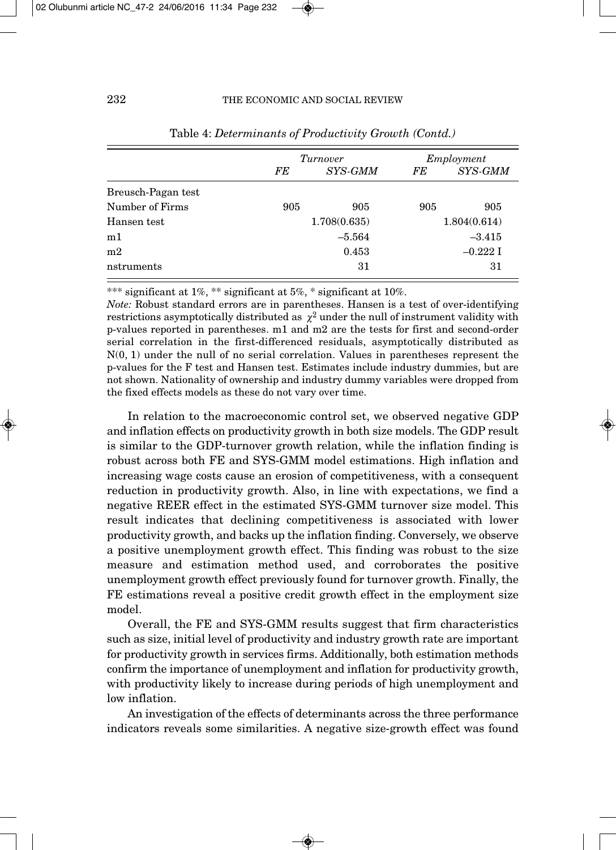|                    |     | Turnover     |     | Employment   |
|--------------------|-----|--------------|-----|--------------|
|                    | FE  | SYS-GMM      | FE  | SYS-GMM      |
| Breusch-Pagan test |     |              |     |              |
| Number of Firms    | 905 | 905          | 905 | 905          |
| Hansen test        |     | 1.708(0.635) |     | 1.804(0.614) |
| m1                 |     | $-5.564$     |     | $-3.415$     |
| m <sub>2</sub>     |     | 0.453        |     | $-0.2221$    |
| nstruments         |     | 31           |     | 31           |

Table 4: *Determinants of Productivity Growth (Contd.)*

\*\*\* significant at 1%, \*\* significant at 5%, \* significant at 10%.

*Note:* Robust standard errors are in parentheses. Hansen is a test of over-identifying restrictions asymptotically distributed as  $\chi^2$  under the null of instrument validity with p-values reported in parentheses. m1 and m2 are the tests for first and second-order serial correlation in the first-differenced residuals, asymptotically distributed as N(0, 1) under the null of no serial correlation. Values in parentheses represent the p-values for the F test and Hansen test. Estimates include industry dummies, but are not shown. Nationality of ownership and industry dummy variables were dropped from the fixed effects models as these do not vary over time.

In relation to the macroeconomic control set, we observed negative GDP and inflation effects on productivity growth in both size models. The GDP result is similar to the GDP-turnover growth relation, while the inflation finding is robust across both FE and SYS-GMM model estimations. High inflation and increasing wage costs cause an erosion of competitiveness, with a consequent reduction in productivity growth. Also, in line with expectations, we find a negative REER effect in the estimated SYS-GMM turnover size model. This result indicates that declining competitiveness is associated with lower productivity growth, and backs up the inflation finding. Conversely, we observe a positive unemployment growth effect. This finding was robust to the size measure and estimation method used, and corroborates the positive unemployment growth effect previously found for turnover growth. Finally, the FE estimations reveal a positive credit growth effect in the employment size model.

Overall, the FE and SYS-GMM results suggest that firm characteristics such as size, initial level of productivity and industry growth rate are important for productivity growth in services firms. Additionally, both estimation methods confirm the importance of unemployment and inflation for productivity growth, with productivity likely to increase during periods of high unemployment and low inflation.

An investigation of the effects of determinants across the three performance indicators reveals some similarities. A negative size-growth effect was found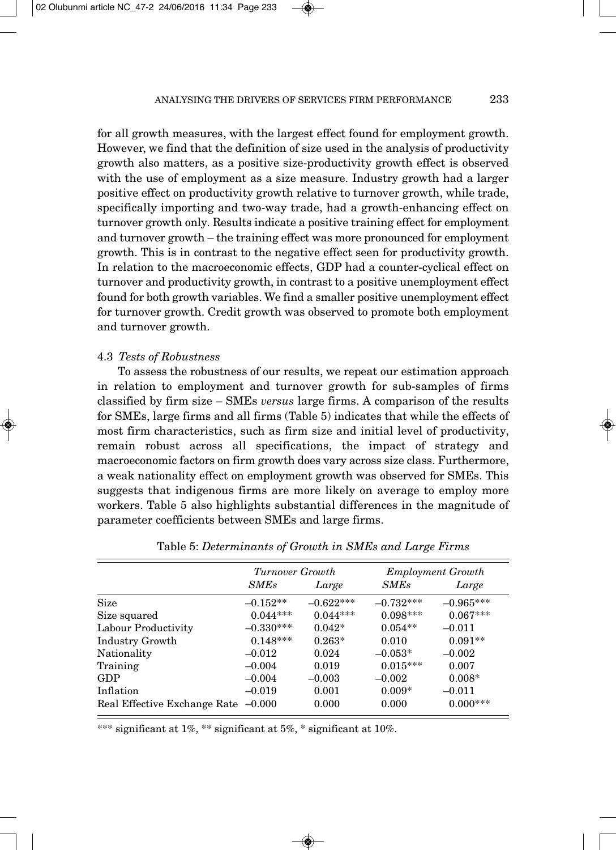for all growth measures, with the largest effect found for employment growth. However, we find that the definition of size used in the analysis of productivity growth also matters, as a positive size-productivity growth effect is observed with the use of employment as a size measure. Industry growth had a larger positive effect on productivity growth relative to turnover growth, while trade, specifically importing and two-way trade, had a growth-enhancing effect on turnover growth only. Results indicate a positive training effect for employment and turnover growth – the training effect was more pronounced for employment growth. This is in contrast to the negative effect seen for productivity growth. In relation to the macroeconomic effects, GDP had a counter-cyclical effect on turnover and productivity growth, in contrast to a positive unemployment effect found for both growth variables. We find a smaller positive unemployment effect for turnover growth. Credit growth was observed to promote both employment and turnover growth.

### 4.3 *Tests of Robustness*

To assess the robustness of our results, we repeat our estimation approach in relation to employment and turnover growth for sub-samples of firms classified by firm size – SMEs *versus* large firms. A comparison of the results for SMEs, large firms and all firms (Table 5) indicates that while the effects of most firm characteristics, such as firm size and initial level of productivity, remain robust across all specifications, the impact of strategy and macroeconomic factors on firm growth does vary across size class. Furthermore, a weak nationality effect on employment growth was observed for SMEs. This suggests that indigenous firms are more likely on average to employ more workers. Table 5 also highlights substantial differences in the magnitude of parameter coefficients between SMEs and large firms.

|                                     | Turnover Growth |             |             | <b>Employment Growth</b> |
|-------------------------------------|-----------------|-------------|-------------|--------------------------|
|                                     | <i>SMEs</i>     | Large       | <b>SMEs</b> | Large                    |
| Size                                | $-0.152**$      | $-0.622***$ | $-0.732***$ | $-0.965***$              |
| Size squared                        | $0.044***$      | $0.044***$  | $0.098***$  | $0.067***$               |
| Labour Productivity                 | $-0.330***$     | $0.042*$    | $0.054**$   | $-0.011$                 |
| Industry Growth                     | $0.148***$      | $0.263*$    | 0.010       | $0.091**$                |
| Nationality                         | $-0.012$        | 0.024       | $-0.053*$   | $-0.002$                 |
| Training                            | $-0.004$        | 0.019       | $0.015***$  | 0.007                    |
| GDP                                 | $-0.004$        | $-0.003$    | $-0.002$    | $0.008*$                 |
| Inflation                           | $-0.019$        | 0.001       | $0.009*$    | $-0.011$                 |
| Real Effective Exchange Rate -0.000 |                 | 0.000       | 0.000       | $0.000***$               |

\*\*\* significant at 1%, \*\* significant at 5%, \* significant at 10%.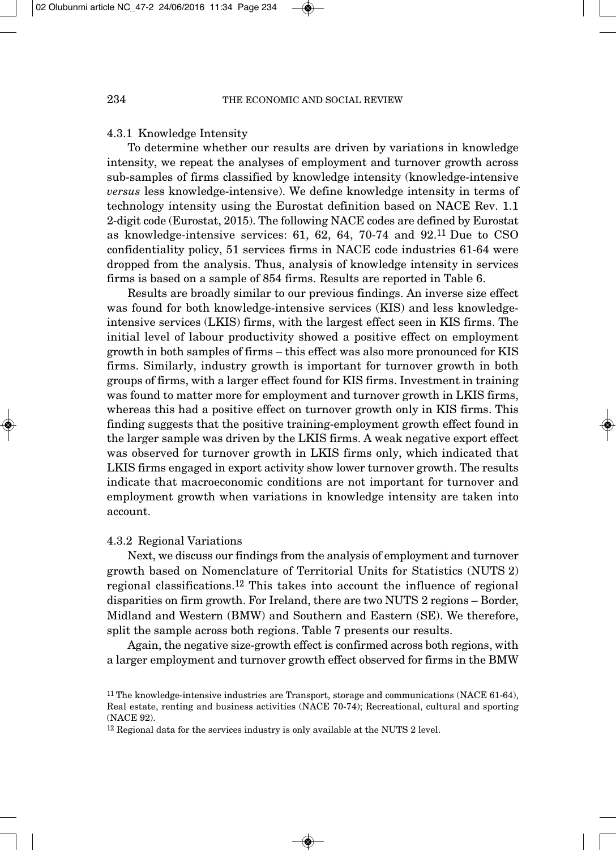#### 4.3.1 Knowledge Intensity

To determine whether our results are driven by variations in knowledge intensity, we repeat the analyses of employment and turnover growth across sub-samples of firms classified by knowledge intensity (knowledge-intensive *versus* less knowledge-intensive). We define knowledge intensity in terms of technology intensity using the Eurostat definition based on NACE Rev. 1.1 2-digit code (Eurostat, 2015). The following NACE codes are defined by Eurostat as knowledge-intensive services: 61, 62, 64, 70-74 and 92.11 Due to CSO confidentiality policy, 51 services firms in NACE code industries 61-64 were dropped from the analysis. Thus, analysis of knowledge intensity in services firms is based on a sample of 854 firms. Results are reported in Table 6.

Results are broadly similar to our previous findings. An inverse size effect was found for both knowledge-intensive services (KIS) and less knowledgeintensive services (LKIS) firms, with the largest effect seen in KIS firms. The initial level of labour productivity showed a positive effect on employment growth in both samples of firms – this effect was also more pronounced for KIS firms. Similarly, industry growth is important for turnover growth in both groups of firms, with a larger effect found for KIS firms. Investment in training was found to matter more for employment and turnover growth in LKIS firms, whereas this had a positive effect on turnover growth only in KIS firms. This finding suggests that the positive training-employment growth effect found in the larger sample was driven by the LKIS firms. A weak negative export effect was observed for turnover growth in LKIS firms only, which indicated that LKIS firms engaged in export activity show lower turnover growth. The results indicate that macroeconomic conditions are not important for turnover and employment growth when variations in knowledge intensity are taken into account.

#### 4.3.2 Regional Variations

Next, we discuss our findings from the analysis of employment and turnover growth based on Nomenclature of Territorial Units for Statistics (NUTS 2) regional classifications.12 This takes into account the influence of regional disparities on firm growth. For Ireland, there are two NUTS 2 regions – Border, Midland and Western (BMW) and Southern and Eastern (SE). We therefore, split the sample across both regions. Table 7 presents our results.

Again, the negative size-growth effect is confirmed across both regions, with a larger employment and turnover growth effect observed for firms in the BMW

<sup>12</sup> Regional data for the services industry is only available at the NUTS 2 level.

<sup>11</sup> The knowledge-intensive industries are Transport, storage and communications (NACE 61-64), Real estate, renting and business activities (NACE 70-74); Recreational, cultural and sporting (NACE 92).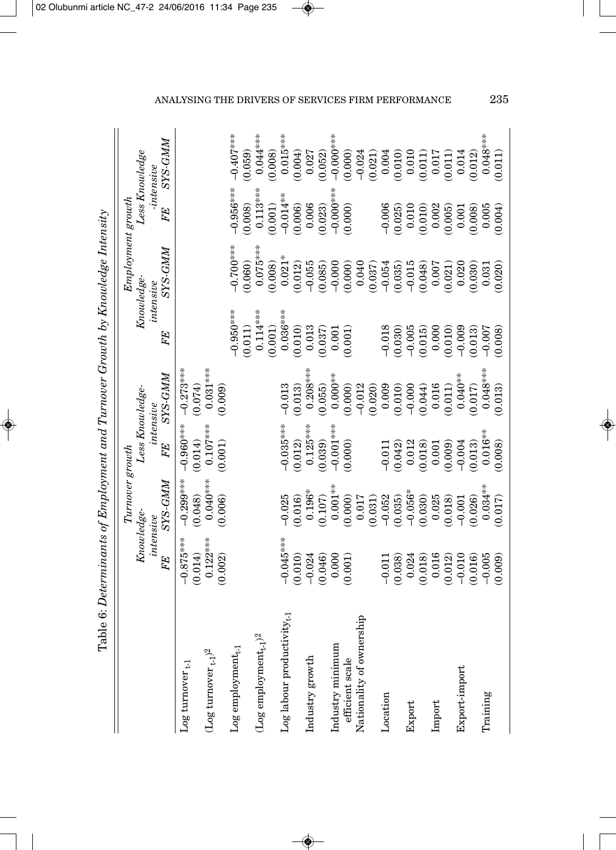| i<br>!<br>.<br>.<br>.<br>I                            |
|-------------------------------------------------------|
| ֠<br>١                                                |
| l                                                     |
| -<br>-<br>-<br>-<br>-<br>l                            |
| I                                                     |
| ֧֦֧֢ׅ֖֖֖֖֖֖֧֦֧֦֧֦֧֦֧֦֧֦֧֧֦֧֚֚֚֚֚֚֚֚֚֚֚֚֚֬֓֓֡<br>こくらく  |
|                                                       |
| ׅ֘֒<br>$\vdots$<br>l                                  |
| í                                                     |
| ֧֧֧֧֚֚֚֚֚֚֚֚֚֚֚֚֚֚֚֚֚֚֚֚֚֚֚֚֚֚֚֚֟֝֟֓֡֟֓֡֟֓֡֟֓֡֟֓֡֟֓֝֬ |
| I                                                     |
| .<br>E<br>ı                                           |

|                                          |                                                                               | $Tumover$ growth                                                                                                            |                                                                                                                         |                                                                                                                                                                                                                                                                                 |                                                                                                                        | $Employment$ growth                                                                                                                                                                                                                                                   |                                                                                                                                                                 |                                                                                                                                                                                                                                                                                                        |
|------------------------------------------|-------------------------------------------------------------------------------|-----------------------------------------------------------------------------------------------------------------------------|-------------------------------------------------------------------------------------------------------------------------|---------------------------------------------------------------------------------------------------------------------------------------------------------------------------------------------------------------------------------------------------------------------------------|------------------------------------------------------------------------------------------------------------------------|-----------------------------------------------------------------------------------------------------------------------------------------------------------------------------------------------------------------------------------------------------------------------|-----------------------------------------------------------------------------------------------------------------------------------------------------------------|--------------------------------------------------------------------------------------------------------------------------------------------------------------------------------------------------------------------------------------------------------------------------------------------------------|
|                                          | Knowledge-<br>intensive                                                       |                                                                                                                             | Less Knowledge-<br>intensive                                                                                            |                                                                                                                                                                                                                                                                                 | Knowledge                                                                                                              | intensive                                                                                                                                                                                                                                                             | Less Knowledge<br>$-intensive$                                                                                                                                  |                                                                                                                                                                                                                                                                                                        |
|                                          | FE                                                                            | <b>NWP-SAS</b>                                                                                                              | FE                                                                                                                      | <b>NNYS-SXS</b>                                                                                                                                                                                                                                                                 | FE                                                                                                                     | <b>NNYS-SXS</b>                                                                                                                                                                                                                                                       | FE                                                                                                                                                              | <b>NVP-SAS</b>                                                                                                                                                                                                                                                                                         |
| $_{\rm Log}$ turnover $_{\rm t-1}$       | $-0.875***$                                                                   | $-0.299***$                                                                                                                 | $-0.960$ ***                                                                                                            | $-0.273***$                                                                                                                                                                                                                                                                     |                                                                                                                        |                                                                                                                                                                                                                                                                       |                                                                                                                                                                 |                                                                                                                                                                                                                                                                                                        |
|                                          | (0.014)                                                                       | (0.048)                                                                                                                     | (0.014)                                                                                                                 | (0.074)                                                                                                                                                                                                                                                                         |                                                                                                                        |                                                                                                                                                                                                                                                                       |                                                                                                                                                                 |                                                                                                                                                                                                                                                                                                        |
| $(\text{Log tumor}_{t-1})^2$             | $0.122***$<br>(0.002)                                                         | $0.040***$<br>(0.006)                                                                                                       | $0.107***$<br>(0.001)                                                                                                   | $0.031***$<br>(0.009)                                                                                                                                                                                                                                                           |                                                                                                                        |                                                                                                                                                                                                                                                                       |                                                                                                                                                                 |                                                                                                                                                                                                                                                                                                        |
| $Log$ employment <sub>t-1</sub>          |                                                                               |                                                                                                                             |                                                                                                                         |                                                                                                                                                                                                                                                                                 |                                                                                                                        | $-0.700$ ***                                                                                                                                                                                                                                                          | $-0.956***$                                                                                                                                                     | $-0.407$ ***                                                                                                                                                                                                                                                                                           |
|                                          |                                                                               |                                                                                                                             |                                                                                                                         |                                                                                                                                                                                                                                                                                 | $-0.950***$<br>(0.011)                                                                                                 | 0.060)                                                                                                                                                                                                                                                                | $\begin{array}{c} (0.008) \\ 0.113^{***} \\ (0.001) \\ (0.001) \\ -0.014^{**} \\ (0.006) \\ (0.006) \\ (0.023) \\ -0.000^{***} \\ (0.003^{***}) \\ \end{array}$ | (0.059)                                                                                                                                                                                                                                                                                                |
| $(\text{Log emplogment}_{t\text{-}1})^2$ |                                                                               |                                                                                                                             |                                                                                                                         |                                                                                                                                                                                                                                                                                 |                                                                                                                        | $0.075***$                                                                                                                                                                                                                                                            |                                                                                                                                                                 | $0.044***$                                                                                                                                                                                                                                                                                             |
|                                          |                                                                               |                                                                                                                             |                                                                                                                         |                                                                                                                                                                                                                                                                                 | $0.114***$<br>(0.001)                                                                                                  | (0.008)                                                                                                                                                                                                                                                               |                                                                                                                                                                 | (0.008)                                                                                                                                                                                                                                                                                                |
| $5Y_{t-1}$<br>Log labour productivit     | $-0.045***$                                                                   | $-0.025$                                                                                                                    | $-0.035***$<br>(0.012)<br>0.125***                                                                                      | $-0.013$                                                                                                                                                                                                                                                                        | $0.036***$<br>$0.036***$<br>$0.010)$<br>$0.013$<br>$0.037$<br>$0.001$<br>$0.001$                                       | $\begin{array}{l} 0.21\\ 0.012\\ 0.012\\ 0.066\\ 0.006\\ 0.006\\ 0.000\\ 0.000\\ 0.000\\ 0.000\\ 0.000\\ 0.000\\ 0.000\\ 0.000\\ 0.000\\ 0.000\\ 0.000\\ 0.000\\ 0.000\\ 0.000\\ 0.000\\ 0.000\\ 0.000\\ 0.000\\ 0.000\\ 0.000\\ 0.000\\ 0.000\\ 0.000\\ 0.000\\ 0.0$ |                                                                                                                                                                 | $0.015***$                                                                                                                                                                                                                                                                                             |
|                                          |                                                                               | $(0.016)$<br>0.196*                                                                                                         |                                                                                                                         |                                                                                                                                                                                                                                                                                 |                                                                                                                        |                                                                                                                                                                                                                                                                       |                                                                                                                                                                 |                                                                                                                                                                                                                                                                                                        |
| Industry growth                          | $\begin{array}{c} (0.010) \\ -0.024 \\ 0.046) \\ 0.000 \\ 0.001) \end{array}$ |                                                                                                                             |                                                                                                                         | $\begin{array}{l} (0.013)\\ 0.208^{***} \\ 0.208^{***} \\ 0.065)\\ 0.000^{**} \\ 0.000^{**} \\ 0.0000 \\ 0.012 \\ 0.009 \\ 0.010 \\ 0.000 \\ 0.011 \\ 0.044 \\ 0.017 \\ 0.043^{***} \\ 0.013 \\ 0.0043^{***} \\ 0.017 \\ 0.043^{***} \\ 0.013 \\ 0.013 \\ 0.013 \\ \end{array}$ |                                                                                                                        |                                                                                                                                                                                                                                                                       |                                                                                                                                                                 | $\begin{array}{l} (0.004)\\ 0.027\\ 0.082)\\ (0.052)\\ (0.053)\\ (0.000***\\ (0.000***\\ (0.0000***\\ (0.0000***\\ (0.0011\\ (0.011\\ (0.011\\ (0.011\\ (0.012\\ (0.012\\ (0.012\\ (0.012\\ (0.012\\ (0.012\\ (0.012\\ (0.012\\ (0.012\\ (0.012\\ (0.012\\ (0.012\\ (0.012\\ (0.012\\ (0.012\\ (0.012$ |
|                                          |                                                                               | (0.107)                                                                                                                     | $(0.039)$<br>$-0.001***$<br>$(0.000)$                                                                                   |                                                                                                                                                                                                                                                                                 |                                                                                                                        |                                                                                                                                                                                                                                                                       |                                                                                                                                                                 |                                                                                                                                                                                                                                                                                                        |
| Industry minimum                         |                                                                               | $0.001**$                                                                                                                   |                                                                                                                         |                                                                                                                                                                                                                                                                                 |                                                                                                                        |                                                                                                                                                                                                                                                                       |                                                                                                                                                                 |                                                                                                                                                                                                                                                                                                        |
| efficient scale                          |                                                                               |                                                                                                                             |                                                                                                                         |                                                                                                                                                                                                                                                                                 |                                                                                                                        |                                                                                                                                                                                                                                                                       |                                                                                                                                                                 |                                                                                                                                                                                                                                                                                                        |
| Nationality of ownership                 |                                                                               |                                                                                                                             |                                                                                                                         |                                                                                                                                                                                                                                                                                 |                                                                                                                        |                                                                                                                                                                                                                                                                       |                                                                                                                                                                 |                                                                                                                                                                                                                                                                                                        |
|                                          |                                                                               | $\begin{array}{c} (0.000) \\ 0.017 \\ (0.031) \\ (0.052 \\ (0.035) \\ (0.036) \\ (0.036) \\ (0.030) \\ (0.030) \end{array}$ |                                                                                                                         |                                                                                                                                                                                                                                                                                 |                                                                                                                        |                                                                                                                                                                                                                                                                       |                                                                                                                                                                 |                                                                                                                                                                                                                                                                                                        |
| Location                                 | $-0.011$<br>(0.038)                                                           |                                                                                                                             |                                                                                                                         |                                                                                                                                                                                                                                                                                 |                                                                                                                        |                                                                                                                                                                                                                                                                       |                                                                                                                                                                 |                                                                                                                                                                                                                                                                                                        |
|                                          |                                                                               |                                                                                                                             |                                                                                                                         |                                                                                                                                                                                                                                                                                 |                                                                                                                        |                                                                                                                                                                                                                                                                       |                                                                                                                                                                 |                                                                                                                                                                                                                                                                                                        |
| Export                                   | 0.024                                                                         |                                                                                                                             |                                                                                                                         |                                                                                                                                                                                                                                                                                 |                                                                                                                        |                                                                                                                                                                                                                                                                       |                                                                                                                                                                 |                                                                                                                                                                                                                                                                                                        |
|                                          | $\begin{array}{c} (0.018) \\ 0.016 \end{array}$                               |                                                                                                                             |                                                                                                                         |                                                                                                                                                                                                                                                                                 |                                                                                                                        |                                                                                                                                                                                                                                                                       |                                                                                                                                                                 |                                                                                                                                                                                                                                                                                                        |
| Import                                   |                                                                               |                                                                                                                             |                                                                                                                         |                                                                                                                                                                                                                                                                                 |                                                                                                                        |                                                                                                                                                                                                                                                                       |                                                                                                                                                                 |                                                                                                                                                                                                                                                                                                        |
|                                          | $(0.012)$<br>$-0.010$<br>$(0.016)$                                            | $(0.018)$<br>$-0.001$<br>$(0.026)$                                                                                          | $-0.011$<br>$(0.042)$<br>$0.018$<br>$0.018$<br>$(0.001)$<br>$(0.009)$<br>$-0.004$<br>$(0.018)$<br>$-0.018$<br>$(0.018)$ |                                                                                                                                                                                                                                                                                 | $\begin{array}{c} -0.018 \\ -0.030) \\ -0.005 \\ -0.015) \\ 0.015) \\ 0.000 \\ 0.010) \\ -0.009 \\ 0.013) \end{array}$ |                                                                                                                                                                                                                                                                       | $\begin{array}{c} -0.006 \\ -0.025) \\ 0.010 \\ 0.010 \\ 0.002 \\ 0.003 \\ 0.005 \\ 0.005 \\ 0.003 \\ 0.004 \end{array}$                                        |                                                                                                                                                                                                                                                                                                        |
| Export-import                            |                                                                               |                                                                                                                             |                                                                                                                         |                                                                                                                                                                                                                                                                                 |                                                                                                                        |                                                                                                                                                                                                                                                                       |                                                                                                                                                                 |                                                                                                                                                                                                                                                                                                        |
|                                          |                                                                               |                                                                                                                             |                                                                                                                         |                                                                                                                                                                                                                                                                                 |                                                                                                                        |                                                                                                                                                                                                                                                                       |                                                                                                                                                                 |                                                                                                                                                                                                                                                                                                        |
| Training                                 |                                                                               |                                                                                                                             |                                                                                                                         |                                                                                                                                                                                                                                                                                 |                                                                                                                        |                                                                                                                                                                                                                                                                       |                                                                                                                                                                 |                                                                                                                                                                                                                                                                                                        |
|                                          | $-0.005$<br>(0.009)                                                           | $0.034***$                                                                                                                  |                                                                                                                         |                                                                                                                                                                                                                                                                                 | $-0.005$                                                                                                               | $\frac{0.031}{0.020}$                                                                                                                                                                                                                                                 |                                                                                                                                                                 | $0.048***$<br>(0.011)                                                                                                                                                                                                                                                                                  |
|                                          |                                                                               |                                                                                                                             |                                                                                                                         |                                                                                                                                                                                                                                                                                 |                                                                                                                        |                                                                                                                                                                                                                                                                       |                                                                                                                                                                 |                                                                                                                                                                                                                                                                                                        |

# ANALYSING THE DRIVERS OF SERVICES FIRM PERFORMANCE 235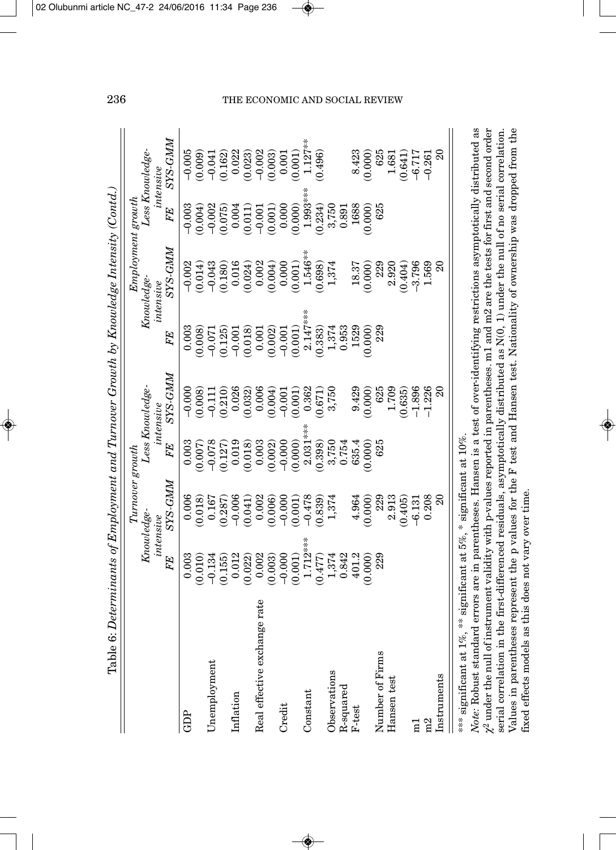| Table 6: Determinants of Employment and Turnover Growth by Knowledge Intensity (Contd.) |                     |                                             |                     |                              |                                                                    |                        |                                   |                                                                                            |
|-----------------------------------------------------------------------------------------|---------------------|---------------------------------------------|---------------------|------------------------------|--------------------------------------------------------------------|------------------------|-----------------------------------|--------------------------------------------------------------------------------------------|
|                                                                                         |                     | $Tumover$ growth                            |                     |                              |                                                                    | Employment growth      |                                   |                                                                                            |
|                                                                                         | Knowledge-          | intensive                                   |                     | Less Knowledge-<br>intensive |                                                                    | Knowledge<br>intensive |                                   | Less Knowledge-<br>intensive                                                               |
|                                                                                         | FE                  | SYS-GMM                                     | FE                  | SYS-GMM                      | FE                                                                 | <b>NVP-SZS</b>         | FE                                | <b>NNYS-SAS</b>                                                                            |
| GDP                                                                                     | 0.003               | 0.006                                       | 0.003               | $-0.000$                     | 0.003                                                              | $-0.002$               | $-0.003$                          | $-0.005$                                                                                   |
|                                                                                         | (0.010)             | (0.018)                                     | (0.007)             | (0.008)                      | 0.008                                                              | (0.014)                | (0.004)                           | (0.009)                                                                                    |
| Unemployment                                                                            | $-0.134$            | 0.167                                       | $-0.078$            | $-0.111$                     | $-0.071$                                                           | $-0.043$               | $-0.002$                          | $-0.041$                                                                                   |
|                                                                                         | (0.155)             | (0.287)                                     | (0.127)             | (0.210)                      | (0.125)                                                            | (0.180)                | (0.075)                           | (0.162)                                                                                    |
| Inflation                                                                               | 0.012               | $-0.006$                                    | 0.019               | 0.026                        |                                                                    | 0.016                  | 0.004                             |                                                                                            |
|                                                                                         | (0.022)             | (0.041)                                     | (0.018)             | (0.032)                      | $-0.001$<br>(0.018)                                                | (0.024)                |                                   |                                                                                            |
| Real effective exchange rate                                                            | 0.002               | 0.002                                       | 0.003               | 0.006                        | $\begin{array}{c} 0.001 \\ 0.002) \\ -0.001 \\ 0.001) \end{array}$ | 0.002                  | $(0.011)$<br>-0.001               | $\begin{array}{c} 0.022 \\ 0.023) \\ (0.023) \\ -0.003 \\ (0.003) \\ 0.001 \\ \end{array}$ |
|                                                                                         | (0.003)             | (0.006)                                     | (0.002)             | (0.004)                      |                                                                    | (0.004)                |                                   |                                                                                            |
| Credit                                                                                  | $-0.000$<br>(0.001) | $-0.000$                                    |                     |                              |                                                                    | 0.000                  |                                   |                                                                                            |
|                                                                                         |                     | (0.001)                                     | $-0.000$<br>(0.000) | $-0.001$<br>(0.001)          |                                                                    | (0.001)                | $(0.001)$<br>$0.000$<br>$(0.000)$ |                                                                                            |
| Constant                                                                                | $1.712***$          | $-0.478$                                    | $2.031***$          | 0.362                        | $2.147***$                                                         | $1.546**$              | $1.993***$                        | $1.127***$                                                                                 |
|                                                                                         | (0.477)             | (0.839)                                     | (0.398)             | (0.671)                      | (0.383)                                                            | (0.698)                | (0.234)                           | (0.496)                                                                                    |
| Observations                                                                            |                     | 1,374                                       |                     | 3,750                        |                                                                    | 1,374                  |                                   |                                                                                            |
| R-squared                                                                               | 1,374<br>0.842      |                                             | 3,750<br>0.754      |                              | $1,374$<br>$0.953$                                                 |                        | 3,750<br>0.891                    |                                                                                            |
| $F-test$                                                                                | 401.2               | 4.964                                       | 635.4               | 9.429                        | 1529                                                               | 18.37                  | 1688                              | 8.423                                                                                      |
|                                                                                         | (0.000)             | (0.000)                                     | (0.000)             | (0.000)                      | 0.000                                                              | (0.000)                | (0.000)                           | (0.000)                                                                                    |
| Number of Firms                                                                         | 229                 | 229                                         | 625                 | 625                          | 229                                                                | 229                    | 625                               | 625                                                                                        |
| Hansen test                                                                             |                     | 2.913                                       |                     | 1.709                        |                                                                    | 2.920                  |                                   | 1.681                                                                                      |
|                                                                                         |                     | (0.405)                                     |                     | (0.635)                      |                                                                    | (0.404)                |                                   | (0.641)                                                                                    |
| $\Xi$                                                                                   |                     | $-6.131$                                    |                     | $-1.896$                     |                                                                    | $-3.796$               |                                   | $-6.717$                                                                                   |
| m2                                                                                      |                     | 0.208                                       |                     | $-1.226$                     |                                                                    | 1.569                  |                                   | $-0.261$                                                                                   |
| Instruments                                                                             |                     | $\overline{20}$                             |                     | $\Omega$                     |                                                                    |                        |                                   | $\Omega$                                                                                   |
| *** significant at 1%                                                                   |                     | ** significant at 5%, * significant at 10%. |                     |                              |                                                                    |                        |                                   |                                                                                            |

Note: Robust standard errors are in parentheses. Hansen is a test of over-identifying restrictions asymptotically distributed as  $\chi^2$  under the null of instrument validity with p-values reported in parentheses. m1 and m2 are the tests for first and second order serial correlation in the first-differenced residuals, asymptotically distributed as N(0, 1) under the null of no serial correlation. Values in parentheses represent the p values for the F test and Hansen test. Nationality of ownership was dropped from the *Note:* Robust standard errors are in parentheses. Hansen is a test of over-identifying restrictions asymptotically distributed as  $\chi^2$  under the null of instrument validity with p-values reported in parentheses. m1 and m2 are the tests for first and second order serial correlation in the first-differenced residuals, asymptotically distributed as N(0, 1) under the null of no serial correlation. Values in parentheses represent the p values for the F test and Hansen test. Nationality of ownership was dropped from the fixed effects models as this does not vary over time. fixed effects models as this does not vary over time.

# 236 THE ECONOMIC AND SOCIAL REVIEW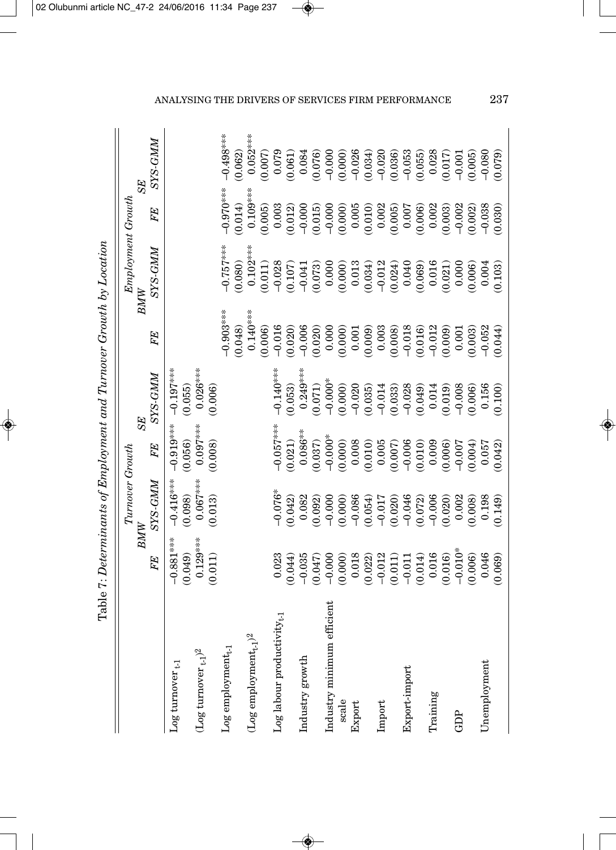| $\frac{1}{2}$<br>I                                                                                                                                                                                                             |
|--------------------------------------------------------------------------------------------------------------------------------------------------------------------------------------------------------------------------------|
|                                                                                                                                                                                                                                |
| :<br>Ò                                                                                                                                                                                                                         |
| I                                                                                                                                                                                                                              |
| $\frac{3}{2}$                                                                                                                                                                                                                  |
| $\sim$ 1 and 2 and 2 and 2 and 2 and 2 and 2 and 2 and 2 and 2 and 2 and 2 and 2 and 2 and 2 and 2 and 2 and 2 and 2 and 2 and 2 and 2 and 2 and 2 and 2 and 2 and 2 and 2 and 2 and 2 and 2 and 2 and 2 and 2 and 2 and 2 and |
| i                                                                                                                                                                                                                              |
| $\frac{1}{1}$                                                                                                                                                                                                                  |
| $\frac{1}{2}$<br>)<br>}<br>}<br>.<br>.<br>.                                                                                                                                                                                    |

|                                                 |             | Turnover Growth                                                                                                                                                                                                                                                     |                                                                                                                                                                                                                                                                                                                                                                                                                                                                                                                  |                       |                                                                                                                                                                                                                                | Employment Growth                                                                                                                                                                                                                                                                                                            |                                                                                                                                                                                                                                                                                                                                                    |                                                                                                                                                                                                                                                                                                                        |
|-------------------------------------------------|-------------|---------------------------------------------------------------------------------------------------------------------------------------------------------------------------------------------------------------------------------------------------------------------|------------------------------------------------------------------------------------------------------------------------------------------------------------------------------------------------------------------------------------------------------------------------------------------------------------------------------------------------------------------------------------------------------------------------------------------------------------------------------------------------------------------|-----------------------|--------------------------------------------------------------------------------------------------------------------------------------------------------------------------------------------------------------------------------|------------------------------------------------------------------------------------------------------------------------------------------------------------------------------------------------------------------------------------------------------------------------------------------------------------------------------|----------------------------------------------------------------------------------------------------------------------------------------------------------------------------------------------------------------------------------------------------------------------------------------------------------------------------------------------------|------------------------------------------------------------------------------------------------------------------------------------------------------------------------------------------------------------------------------------------------------------------------------------------------------------------------|
|                                                 | BMW         |                                                                                                                                                                                                                                                                     | <b>SE</b>                                                                                                                                                                                                                                                                                                                                                                                                                                                                                                        |                       | BMW                                                                                                                                                                                                                            |                                                                                                                                                                                                                                                                                                                              |                                                                                                                                                                                                                                                                                                                                                    | <b>SE</b>                                                                                                                                                                                                                                                                                                              |
|                                                 | FE          | <b>NNYS-SXS</b>                                                                                                                                                                                                                                                     | FE                                                                                                                                                                                                                                                                                                                                                                                                                                                                                                               | <b>SYS-GMM</b>        | FE                                                                                                                                                                                                                             | <b>NWP-SAS</b>                                                                                                                                                                                                                                                                                                               | FE                                                                                                                                                                                                                                                                                                                                                 | <b>NWP-SAS</b>                                                                                                                                                                                                                                                                                                         |
| $Log$ turnover $_{t\text{-}1}$                  | $-0.881***$ | $-0.416***$                                                                                                                                                                                                                                                         | $-0.919***$                                                                                                                                                                                                                                                                                                                                                                                                                                                                                                      | $-0.197***$           |                                                                                                                                                                                                                                |                                                                                                                                                                                                                                                                                                                              |                                                                                                                                                                                                                                                                                                                                                    |                                                                                                                                                                                                                                                                                                                        |
|                                                 | (0.049)     | (0.098)                                                                                                                                                                                                                                                             | (0.056)                                                                                                                                                                                                                                                                                                                                                                                                                                                                                                          | (0.055)               |                                                                                                                                                                                                                                |                                                                                                                                                                                                                                                                                                                              |                                                                                                                                                                                                                                                                                                                                                    |                                                                                                                                                                                                                                                                                                                        |
| $(\rm{Log\,turnover\,t\text{-}1})^2$            | $0.129***$  | $0.067***$                                                                                                                                                                                                                                                          | $0.097***$                                                                                                                                                                                                                                                                                                                                                                                                                                                                                                       | $0.026***$            |                                                                                                                                                                                                                                |                                                                                                                                                                                                                                                                                                                              |                                                                                                                                                                                                                                                                                                                                                    |                                                                                                                                                                                                                                                                                                                        |
|                                                 | (0.011)     | (0.013)                                                                                                                                                                                                                                                             | (0.008)                                                                                                                                                                                                                                                                                                                                                                                                                                                                                                          | (0.006)               |                                                                                                                                                                                                                                |                                                                                                                                                                                                                                                                                                                              |                                                                                                                                                                                                                                                                                                                                                    |                                                                                                                                                                                                                                                                                                                        |
| $\operatorname{Log}$ employment $_{t\text{-}1}$ |             |                                                                                                                                                                                                                                                                     |                                                                                                                                                                                                                                                                                                                                                                                                                                                                                                                  |                       | $-0.903***$                                                                                                                                                                                                                    | $-0.757***$                                                                                                                                                                                                                                                                                                                  | $0.970***$                                                                                                                                                                                                                                                                                                                                         | $-0.498***$                                                                                                                                                                                                                                                                                                            |
|                                                 |             |                                                                                                                                                                                                                                                                     |                                                                                                                                                                                                                                                                                                                                                                                                                                                                                                                  |                       | 0.048                                                                                                                                                                                                                          | (0.080)                                                                                                                                                                                                                                                                                                                      | (0.014)                                                                                                                                                                                                                                                                                                                                            | (0.062)                                                                                                                                                                                                                                                                                                                |
| $(\text{Log employment}_{t\text{-}1})^2$        |             |                                                                                                                                                                                                                                                                     |                                                                                                                                                                                                                                                                                                                                                                                                                                                                                                                  |                       |                                                                                                                                                                                                                                | $0.102***$                                                                                                                                                                                                                                                                                                                   |                                                                                                                                                                                                                                                                                                                                                    | $0.052***$                                                                                                                                                                                                                                                                                                             |
|                                                 |             |                                                                                                                                                                                                                                                                     |                                                                                                                                                                                                                                                                                                                                                                                                                                                                                                                  |                       |                                                                                                                                                                                                                                |                                                                                                                                                                                                                                                                                                                              |                                                                                                                                                                                                                                                                                                                                                    |                                                                                                                                                                                                                                                                                                                        |
| $Log$ labour productivity $_{t\text{-}1}$       | 0.023       | $-0.076*$                                                                                                                                                                                                                                                           | $\begin{array}{l} \mathbf{1}_{3}^{2} \rightarrow 0 \\ \mathbf{1}_{3}^{2} \rightarrow 0 \\ \mathbf{1}_{3}^{2} \rightarrow 0 \\ \mathbf{1}_{3}^{2} \rightarrow 0 \\ \mathbf{1}_{3}^{2} \rightarrow 0 \\ \mathbf{1}_{3}^{2} \rightarrow 0 \\ \mathbf{1}_{3}^{2} \rightarrow 0 \\ \mathbf{1}_{3}^{2} \rightarrow 0 \\ \mathbf{1}_{3}^{2} \rightarrow 0 \\ \mathbf{1}_{3}^{2} \rightarrow 0 \\ \mathbf{1}_{3}^{2} \rightarrow 0 \\ \mathbf{1}_{3}^{2} \rightarrow 0 \\ \mathbf{1}_{3}^{2} \rightarrow 0 \\ \mathbf{1$ | $-0.140***$           | $(1,1)$ $(1,1)$ $(1,0)$ $(1,0)$ $(1,0)$ $(1,0)$ $(1,0)$ $(1,0)$ $(1,0)$ $(1,0)$ $(1,0)$ $(1,0)$ $(1,0)$ $(1,0)$ $(1,0)$ $(1,0)$ $(1,0)$ $(1,0)$ $(1,0)$ $(1,0)$ $(1,0)$ $(1,0)$ $(1,0)$ $(1,0)$ $(1,0)$ $(1,0)$ $(1,0)$ $(1,0$ | $\begin{array}{l} (0.011)\\ (-) \,0.28\\ (-) \,0.07\\ (-) \,0.07\\ (-) \,0.000\\ (-) \,0.000\\ (-) \,0.000\\ (-) \,0.014\\ (-) \,0.000\\ (-) \,0.014\\ (-) \,0.000\\ (-) \,0.000\\ (-) \,0.000\\ (-) \,0.000\\ (-) \,0.000\\ (-) \,0.000\\ (-) \,0.000\\ (-) \,0.000\\ (-) \,0.000\\ (-) \,0.000\\ (-) \,0.000\\ (-) \,0.00$ | $\begin{array}{l} \mbox{1.03}\hskip 1.0cm \mbox{1.03}\hskip 1.0cm \mbox{1.03}\hskip 1.0cm \mbox{1.03}\hskip 1.0cm \mbox{1.03}\hskip 1.0cm \mbox{1.03}\hskip 1.0cm \mbox{1.03}\hskip 1.0cm \mbox{1.03}\hskip 1.0cm \mbox{1.03}\hskip 1.0cm \mbox{1.03}\hskip 1.0cm \mbox{1.03}\hskip 1.0cm \mbox{1.03}\hskip 1.0cm \mbox{1.03}\hskip 1.0cm \mbox{1$ | $\begin{array}{l} (0.007) \\ (0.079) \\ (0.061) \\ (0.079) \\ (0.070) \\ (0.000) \\ (0.000) \\ (0.000) \\ (0.000) \\ (0.000) \\ (0.000) \\ (0.000) \\ (0.000) \\ (0.000) \\ (0.000) \\ (0.000) \\ (0.000) \\ (0.000) \\ (0.000) \\ (0.000) \\ (0.000) \\ (0.000) \\ (0.000) \\ (0.000) \\ (0.000) \\ (0.000) \\ (0.00$ |
|                                                 | (0.044)     |                                                                                                                                                                                                                                                                     |                                                                                                                                                                                                                                                                                                                                                                                                                                                                                                                  | $(0.053)$<br>0.249*** |                                                                                                                                                                                                                                |                                                                                                                                                                                                                                                                                                                              |                                                                                                                                                                                                                                                                                                                                                    |                                                                                                                                                                                                                                                                                                                        |
| Industry growth                                 |             |                                                                                                                                                                                                                                                                     |                                                                                                                                                                                                                                                                                                                                                                                                                                                                                                                  |                       |                                                                                                                                                                                                                                |                                                                                                                                                                                                                                                                                                                              |                                                                                                                                                                                                                                                                                                                                                    |                                                                                                                                                                                                                                                                                                                        |
|                                                 |             |                                                                                                                                                                                                                                                                     |                                                                                                                                                                                                                                                                                                                                                                                                                                                                                                                  |                       |                                                                                                                                                                                                                                |                                                                                                                                                                                                                                                                                                                              |                                                                                                                                                                                                                                                                                                                                                    |                                                                                                                                                                                                                                                                                                                        |
| efficient<br>Industry minimum                   |             |                                                                                                                                                                                                                                                                     |                                                                                                                                                                                                                                                                                                                                                                                                                                                                                                                  |                       |                                                                                                                                                                                                                                |                                                                                                                                                                                                                                                                                                                              |                                                                                                                                                                                                                                                                                                                                                    |                                                                                                                                                                                                                                                                                                                        |
| scale                                           |             |                                                                                                                                                                                                                                                                     |                                                                                                                                                                                                                                                                                                                                                                                                                                                                                                                  |                       |                                                                                                                                                                                                                                |                                                                                                                                                                                                                                                                                                                              |                                                                                                                                                                                                                                                                                                                                                    |                                                                                                                                                                                                                                                                                                                        |
| Export                                          |             |                                                                                                                                                                                                                                                                     |                                                                                                                                                                                                                                                                                                                                                                                                                                                                                                                  |                       |                                                                                                                                                                                                                                |                                                                                                                                                                                                                                                                                                                              |                                                                                                                                                                                                                                                                                                                                                    |                                                                                                                                                                                                                                                                                                                        |
|                                                 |             | $\begin{array}{c} 0.082\\ 0.0920\\ 0.0000\\ 0.0000\\ 0.0000\\ 0.0000\\ 0.0000\\ 0.0000\\ 0.0000\\ 0.0000\\ 0.0000\\ 0.0000\\ 0.0000\\ 0.0000\\ 0.002\\ 0.002\\ 0.002\\ 0.002\\ 0.003\\ 0.003\\ 0.003\\ 0.003\\ 0.003\\ 0.003\\ 0.003\\ 0.003\\ 0.003\\ 0.003\\ 0.0$ |                                                                                                                                                                                                                                                                                                                                                                                                                                                                                                                  |                       |                                                                                                                                                                                                                                |                                                                                                                                                                                                                                                                                                                              |                                                                                                                                                                                                                                                                                                                                                    |                                                                                                                                                                                                                                                                                                                        |
| Import                                          |             |                                                                                                                                                                                                                                                                     |                                                                                                                                                                                                                                                                                                                                                                                                                                                                                                                  |                       |                                                                                                                                                                                                                                |                                                                                                                                                                                                                                                                                                                              |                                                                                                                                                                                                                                                                                                                                                    |                                                                                                                                                                                                                                                                                                                        |
|                                                 |             |                                                                                                                                                                                                                                                                     |                                                                                                                                                                                                                                                                                                                                                                                                                                                                                                                  |                       |                                                                                                                                                                                                                                |                                                                                                                                                                                                                                                                                                                              |                                                                                                                                                                                                                                                                                                                                                    |                                                                                                                                                                                                                                                                                                                        |
| Export-import                                   |             |                                                                                                                                                                                                                                                                     |                                                                                                                                                                                                                                                                                                                                                                                                                                                                                                                  |                       |                                                                                                                                                                                                                                |                                                                                                                                                                                                                                                                                                                              |                                                                                                                                                                                                                                                                                                                                                    |                                                                                                                                                                                                                                                                                                                        |
|                                                 |             |                                                                                                                                                                                                                                                                     |                                                                                                                                                                                                                                                                                                                                                                                                                                                                                                                  |                       |                                                                                                                                                                                                                                |                                                                                                                                                                                                                                                                                                                              |                                                                                                                                                                                                                                                                                                                                                    |                                                                                                                                                                                                                                                                                                                        |
| Training                                        |             |                                                                                                                                                                                                                                                                     |                                                                                                                                                                                                                                                                                                                                                                                                                                                                                                                  |                       |                                                                                                                                                                                                                                |                                                                                                                                                                                                                                                                                                                              |                                                                                                                                                                                                                                                                                                                                                    |                                                                                                                                                                                                                                                                                                                        |
|                                                 |             |                                                                                                                                                                                                                                                                     |                                                                                                                                                                                                                                                                                                                                                                                                                                                                                                                  |                       |                                                                                                                                                                                                                                |                                                                                                                                                                                                                                                                                                                              |                                                                                                                                                                                                                                                                                                                                                    |                                                                                                                                                                                                                                                                                                                        |
| GDP                                             |             |                                                                                                                                                                                                                                                                     |                                                                                                                                                                                                                                                                                                                                                                                                                                                                                                                  |                       |                                                                                                                                                                                                                                |                                                                                                                                                                                                                                                                                                                              |                                                                                                                                                                                                                                                                                                                                                    |                                                                                                                                                                                                                                                                                                                        |
|                                                 |             |                                                                                                                                                                                                                                                                     |                                                                                                                                                                                                                                                                                                                                                                                                                                                                                                                  |                       |                                                                                                                                                                                                                                |                                                                                                                                                                                                                                                                                                                              |                                                                                                                                                                                                                                                                                                                                                    |                                                                                                                                                                                                                                                                                                                        |
| Unemployment                                    |             | $\begin{array}{c} 0.008 \\ 0.198 \\ 0.149 \end{array}$                                                                                                                                                                                                              |                                                                                                                                                                                                                                                                                                                                                                                                                                                                                                                  |                       |                                                                                                                                                                                                                                |                                                                                                                                                                                                                                                                                                                              |                                                                                                                                                                                                                                                                                                                                                    |                                                                                                                                                                                                                                                                                                                        |
|                                                 | (0.069)     |                                                                                                                                                                                                                                                                     |                                                                                                                                                                                                                                                                                                                                                                                                                                                                                                                  |                       |                                                                                                                                                                                                                                |                                                                                                                                                                                                                                                                                                                              |                                                                                                                                                                                                                                                                                                                                                    |                                                                                                                                                                                                                                                                                                                        |

# ANALYSING THE DRIVERS OF SERVICES FIRM PERFORMANCE 237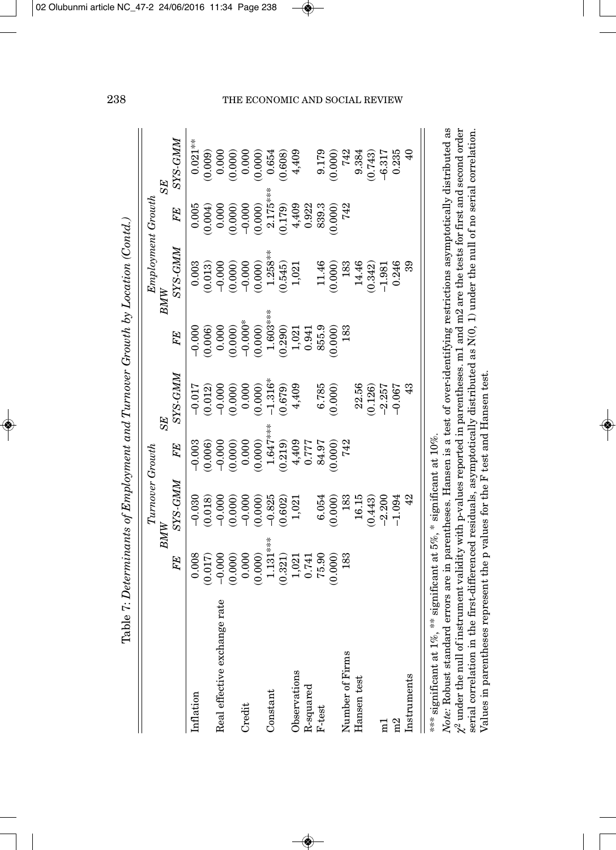|                                                                   |            |                 |                                  |                                    |                                                                | (able 7: Determinants of Employment and Turnover Growth by Location (Contd.) |            |            |
|-------------------------------------------------------------------|------------|-----------------|----------------------------------|------------------------------------|----------------------------------------------------------------|------------------------------------------------------------------------------|------------|------------|
|                                                                   |            | Turnover Growth |                                  |                                    |                                                                | Employment Growth                                                            |            |            |
|                                                                   |            | BMW             |                                  | <b>SE</b>                          |                                                                | BMW                                                                          |            | SE         |
|                                                                   | FE         | SYS-GMM         | FE                               | SYS-GMM                            | FE                                                             | SYS-GMM                                                                      | FE         | SYS-GMM    |
| Inflation                                                         | 0.008      | $-0.030$        | $-0.003$                         | $-0.017$                           | $-0.000$                                                       | 0.003                                                                        | 0.005      | $0.021***$ |
|                                                                   | (0.017)    | (0.018)         | (0.006)                          |                                    | 0.006                                                          | (0.013)                                                                      | 0.004)     | 0.009      |
| Real effective exchange rate                                      | $-0.000$   | $-0.000$        | $-0.000$                         | $(0.012)$<br>$-0.000$<br>$(0.000)$ | $(0.000)$<br>$(0.000)$<br>$-0.000*$<br>$(0.000)$<br>$1.603***$ | $-0.000$                                                                     | 0.000      | 0.000      |
|                                                                   | (0.000)    | (0.000)         | (0.000)                          |                                    |                                                                | (0.000)                                                                      | 0.000      | (0.000)    |
| Credit                                                            | 0.000      | $-0.000$        | 0.000                            | 0.000                              |                                                                | $-0.000$                                                                     | $-0.000$   | 0.000      |
|                                                                   | (0.000)    | (0.000)         | (0.000)                          | (0.000)                            |                                                                | (0.000)                                                                      | (0.000)    | 0.000      |
| Constant                                                          | $1.131***$ | $-0.825$        | $1.647***$                       | $-1.316*$                          |                                                                | $1.258***$                                                                   | $2.175***$ | 0.654      |
|                                                                   | (0.321)    | (0.602)         | (0.219)                          | (0.679)                            | (0.290)                                                        | (0.545)                                                                      | (0.179)    | (0.608)    |
| Observations                                                      | 1,021      | 1,021           |                                  | 4,409                              |                                                                | 1,021                                                                        | 4,409      | 4,409      |
| $R$ -squared                                                      | 0.741      |                 | $7777$<br>0.777<br>7777<br>76.97 |                                    | $1,021$<br>$0.941$                                             |                                                                              | 0.922      |            |
| $F-test$                                                          | 75.90      | 6.054           |                                  |                                    | 855.9                                                          |                                                                              | 839.3      | 9.179      |
|                                                                   | (0.000)    | (0.000)         | $(0.000)$<br>742                 | $6.785$<br>$(0.000)$               | (0.000)                                                        | $11.46$<br>(0.000)                                                           | (0.000)    | (0.000)    |
| Number of Firms                                                   | 183        | 183             |                                  |                                    | 183                                                            | 183                                                                          | 742        | 742        |
| Hansen test                                                       |            | 16.15           |                                  | 22.56                              |                                                                | 14.46                                                                        |            | 9.384      |
|                                                                   |            | (0.443)         |                                  | (0.126)                            |                                                                | (0.342)                                                                      |            | 0.743      |
| Ξ                                                                 |            | $-2.200$        |                                  | $-2.257$                           |                                                                | $-1.981$                                                                     |            | $-6.317$   |
| $\approx$                                                         |            | $-1.094$        |                                  | $-0.067$                           |                                                                | 0.246                                                                        |            | 0.235      |
| Instruments                                                       |            | 42              |                                  | $\frac{3}{4}$                      |                                                                | ೫                                                                            |            |            |
| *** significant at 1%, ** significant at 5%, * significant at 10% |            |                 |                                  |                                    |                                                                |                                                                              |            |            |

Table  $7:$  Determinants of Employment and Turnover Growth by Location (Contd.)

Note: Robust standard errors are in parentheses. Hansen is a test of over-identifying restrictions asymptotically distributed as  $\chi^2$  under the null of instrument validity with p-values reported in parentheses. m1 and m2 are the tests for first and second order serial correlation in the first-differenced residuals, asymptotically distributed as  $N(0, 1)$  under the null of no serial correlation. *Note:* Robust standard errors are in parentheses. Hansen is a test of over-identifying restrictions asymptotically distributed as  $\chi^2$  under the null of instrument validity with p-values reported in parentheses. m1 and m2 are the tests for first and second order serial correlation in the first-differenced residuals, asymptotically distributed as N(0, 1) under the null of no serial correlation. Values in parentheses represent the p values for the F test and Hansen test. Values in parentheses represent the p values for the F test and Hansen test.

# 238 THE ECONOMIC AND SOCIAL REVIEW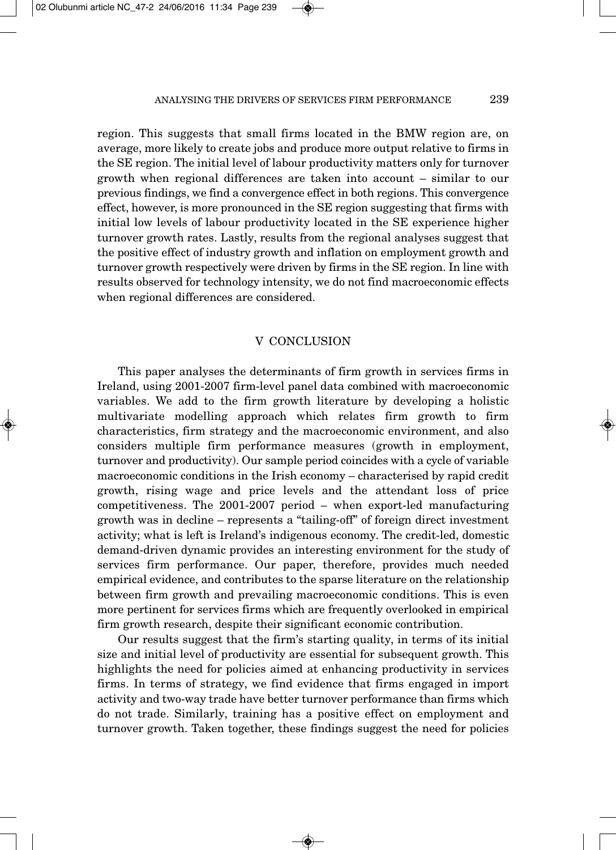region. This suggests that small firms located in the BMW region are, on average, more likely to create jobs and produce more output relative to firms in the SE region. The initial level of labour productivity matters only for turnover growth when regional differences are taken into account – similar to our previous findings, we find a convergence effect in both regions. This convergence effect, however, is more pronounced in the SE region suggesting that firms with initial low levels of labour productivity located in the SE experience higher turnover growth rates. Lastly, results from the regional analyses suggest that the positive effect of industry growth and inflation on employment growth and turnover growth respectively were driven by firms in the SE region. In line with results observed for technology intensity, we do not find macroeconomic effects when regional differences are considered.

# V CONCLUSION

This paper analyses the determinants of firm growth in services firms in Ireland, using 2001-2007 firm-level panel data combined with macroeconomic variables. We add to the firm growth literature by developing a holistic multivariate modelling approach which relates firm growth to firm characteristics, firm strategy and the macroeconomic environment, and also considers multiple firm performance measures (growth in employment, turnover and productivity). Our sample period coincides with a cycle of variable macroeconomic conditions in the Irish economy – characterised by rapid credit growth, rising wage and price levels and the attendant loss of price competitiveness. The 2001-2007 period – when export-led manufacturing growth was in decline – represents a "tailing-off" of foreign direct investment activity; what is left is Ireland's indigenous economy. The credit-led, domestic demand-driven dynamic provides an interesting environment for the study of services firm performance. Our paper, therefore, provides much needed empirical evidence, and contributes to the sparse literature on the relationship between firm growth and prevailing macroeconomic conditions. This is even more pertinent for services firms which are frequently overlooked in empirical firm growth research, despite their significant economic contribution.

Our results suggest that the firm's starting quality, in terms of its initial size and initial level of productivity are essential for subsequent growth. This highlights the need for policies aimed at enhancing productivity in services firms. In terms of strategy, we find evidence that firms engaged in import activity and two-way trade have better turnover performance than firms which do not trade. Similarly, training has a positive effect on employment and turnover growth. Taken together, these findings suggest the need for policies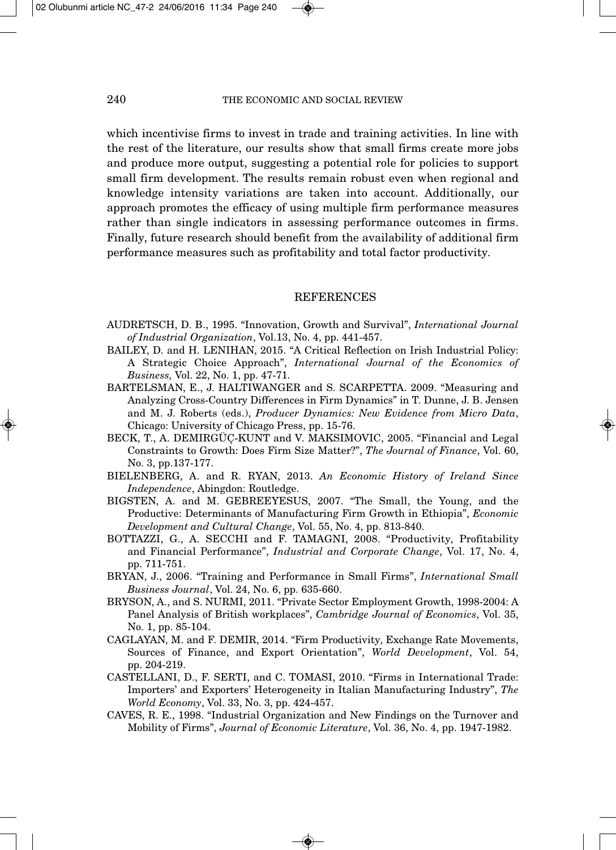which incentivise firms to invest in trade and training activities. In line with the rest of the literature, our results show that small firms create more jobs and produce more output, suggesting a potential role for policies to support small firm development. The results remain robust even when regional and knowledge intensity variations are taken into account. Additionally, our approach promotes the efficacy of using multiple firm performance measures rather than single indicators in assessing performance outcomes in firms. Finally, future research should benefit from the availability of additional firm performance measures such as profitability and total factor productivity.

#### **REFERENCES**

- AUDRETSCH, D. B., 1995. "Innovation, Growth and Survival", *International Journal of Industrial Organization*, Vol.13, No. 4, pp. 441-457.
- BAILEY, D. and H. LENIHAN, 2015. "A Critical Reflection on Irish Industrial Policy: A Strategic Choice Approach", *International Journal of the Economics of Business,* Vol. 22, No. 1, pp. 47-71.
- BARTELSMAN, E., J. HALTIWANGER and S. SCARPETTA. 2009. "Measuring and Analyzing Cross-Country Differences in Firm Dynamics" in T. Dunne, J. B. Jensen and M. J. Roberts (eds.), *Producer Dynamics: New Evidence from Micro Data*, Chicago: University of Chicago Press, pp. 15-76.
- BECK, T., A. DEMIRGÜÇ-KUNT and V. MAKSIMOVIC, 2005. "Financial and Legal Constraints to Growth: Does Firm Size Matter?", *The Journal of Finance*, Vol. 60, No. 3, pp.137-177.
- BIELENBERG, A. and R. RYAN, 2013. *An Economic History of Ireland Since Independence*, Abingdon: Routledge.
- BIGSTEN, A. and M. GEBREEYESUS, 2007. "The Small, the Young, and the Productive: Determinants of Manufacturing Firm Growth in Ethiopia", *Economic Development and Cultural Change*, Vol. 55, No. 4, pp. 813-840.
- BOTTAZZI, G., A. SECCHI and F. TAMAGNI, 2008. "Productivity, Profitability and Financial Performance", *Industrial and Corporate Change*, Vol. 17, No. 4, pp. 711-751.
- BRYAN, J., 2006. "Training and Performance in Small Firms", *International Small Business Journal*, Vol. 24, No. 6, pp. 635-660.
- BRYSON, A., and S. NURMI, 2011. "Private Sector Employment Growth, 1998-2004: A Panel Analysis of British workplaces", *Cambridge Journal of Economics*, Vol. 35, No. 1, pp. 85-104.
- CAGLAYAN, M. and F. DEMIR, 2014. "Firm Productivity, Exchange Rate Movements, Sources of Finance, and Export Orientation", *World Development*, Vol. 54, pp. 204-219.
- CASTELLANI, D., F. SERTI, and C. TOMASI, 2010. "Firms in International Trade: Importers' and Exporters' Heterogeneity in Italian Manufacturing Industry", *The World Economy*, Vol. 33, No. 3, pp. 424-457.
- CAVES, R. E., 1998. "Industrial Organization and New Findings on the Turnover and Mobility of Firms", *Journal of Economic Literature*, Vol. 36, No. 4, pp. 1947-1982.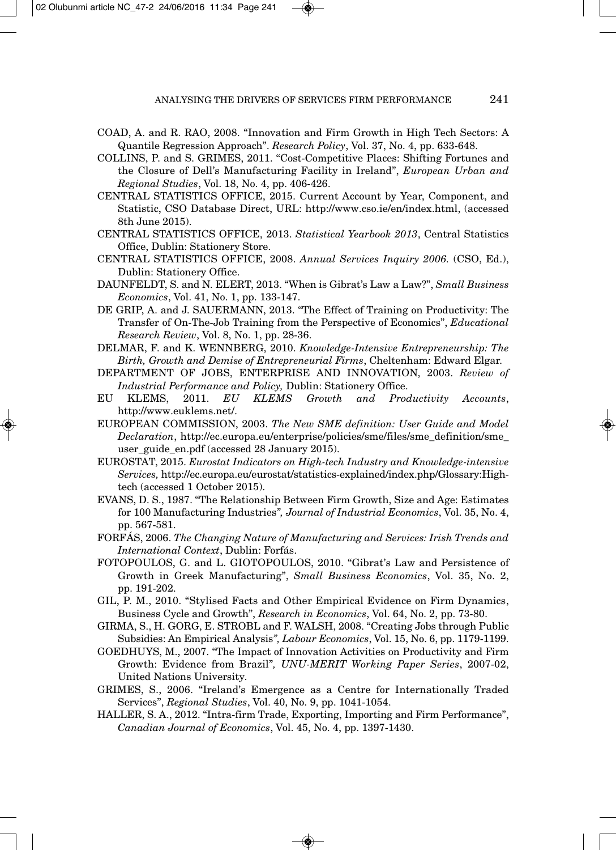- COAD, A. and R. RAO, 2008. "Innovation and Firm Growth in High Tech Sectors: A Quantile Regression Approach". *Research Policy*, Vol. 37, No. 4, pp. 633-648.
- COLLINS, P. and S. GRIMES, 2011. "Cost-Competitive Places: Shifting Fortunes and the Closure of Dell's Manufacturing Facility in Ireland", *European Urban and Regional Studies*, Vol. 18, No. 4, pp. 406-426.
- CENTRAL STATISTICS OFFICE, 2015. Current Account by Year, Component, and Statistic, CSO Database Direct, URL: http://www.cso.ie/en/index.html, (accessed 8th June 2015).
- CENTRAL STATISTICS OFFICE, 2013. *Statistical Yearbook 2013*, Central Statistics Office, Dublin: Stationery Store.
- CENTRAL STATISTICS OFFICE, 2008. *Annual Services Inquiry 2006.* (CSO, Ed.), Dublin: Stationery Office.
- DAUNFELDT, S. and N. ELERT, 2013. "When is Gibrat's Law a Law?", *Small Business Economics*, Vol. 41, No. 1, pp. 133-147.
- DE GRIP, A. and J. SAUERMANN, 2013. "The Effect of Training on Productivity: The Transfer of On-The-Job Training from the Perspective of Economics", *Educational Research Review*, Vol. 8, No. 1, pp. 28-36.
- DELMAR, F. and K. WENNBERG, 2010. *Knowledge-Intensive Entrepreneurship: The Birth, Growth and Demise of Entrepreneurial Firms*, Cheltenham: Edward Elgar.
- DEPARTMENT OF JOBS, ENTERPRISE AND INNOVATION, 2003. *Review of Industrial Performance and Policy,* Dublin: Stationery Office.
- EU KLEMS, 2011. *EU KLEMS Growth and Productivity Accounts*, http://www.euklems.net/.
- EUROPEAN COMMISSION, 2003. *The New SME definition: User Guide and Model Declaration*, http://ec.europa.eu/enterprise/policies/sme/files/sme\_definition/sme\_ user\_guide\_en.pdf (accessed 28 January 2015).
- EUROSTAT, 2015. *Eurostat Indicators on High-tech Industry and Knowledge-intensive Services,* http://ec.europa.eu/eurostat/statistics-explained/index.php/Glossary:Hightech (accessed 1 October 2015).
- EVANS, D. S., 1987. "The Relationship Between Firm Growth, Size and Age: Estimates for 100 Manufacturing Industries*", Journal of Industrial Economics*, Vol. 35, No. 4, pp. 567-581.
- FORFÁS, 2006. *The Changing Nature of Manufacturing and Services: Irish Trends and International Context*, Dublin: Forfás.
- FOTOPOULOS, G. and L. GIOTOPOULOS, 2010. "Gibrat's Law and Persistence of Growth in Greek Manufacturing", *Small Business Economics*, Vol. 35, No. 2, pp. 191-202.
- GIL, P. M., 2010. "Stylised Facts and Other Empirical Evidence on Firm Dynamics, Business Cycle and Growth", *Research in Economics*, Vol. 64, No. 2, pp. 73-80.
- GIRMA, S., H. GORG, E. STROBL and F. WALSH, 2008. "Creating Jobs through Public Subsidies: An Empirical Analysis*", Labour Economics*, Vol. 15, No. 6, pp. 1179-1199.
- GOEDHUYS, M., 2007. "The Impact of Innovation Activities on Productivity and Firm Growth: Evidence from Brazil"*, UNU-MERIT Working Paper Series*, 2007-02, United Nations University.
- GRIMES, S., 2006. "Ireland's Emergence as a Centre for Internationally Traded Services", *Regional Studies*, Vol. 40, No. 9, pp. 1041-1054.
- HALLER, S. A., 2012. "Intra-firm Trade, Exporting, Importing and Firm Performance", *Canadian Journal of Economics*, Vol. 45, No. 4, pp. 1397-1430.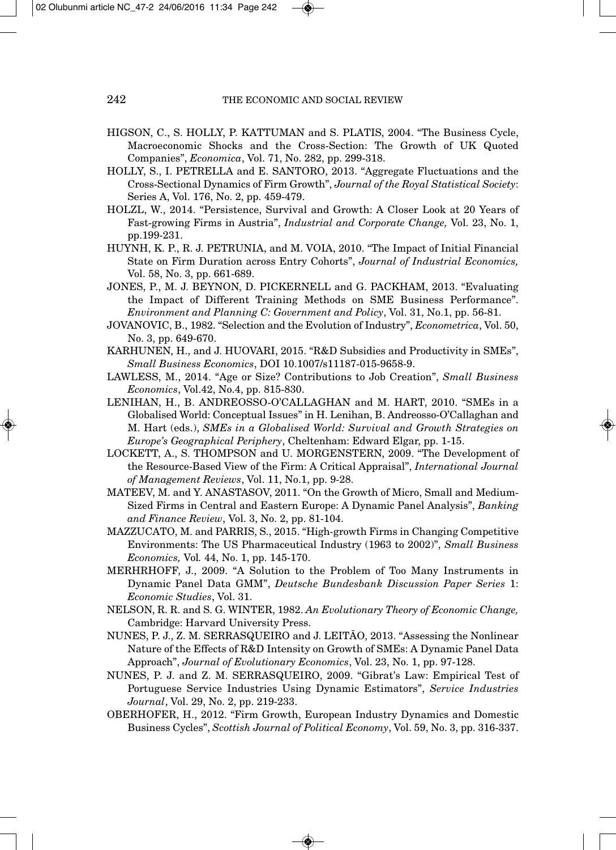- HIGSON, C., S. HOLLY, P. KATTUMAN and S. PLATIS, 2004. "The Business Cycle, Macroeconomic Shocks and the Cross-Section: The Growth of UK Quoted Companies", *Economica*, Vol. 71, No. 282, pp. 299-318.
- HOLLY, S., I. PETRELLA and E. SANTORO, 2013. "Aggregate Fluctuations and the Cross-Sectional Dynamics of Firm Growth", *Journal of the Royal Statistical Society*: Series A, Vol. 176, No. 2, pp. 459-479.
- HOLZL, W., 2014. "Persistence, Survival and Growth: A Closer Look at 20 Years of Fast-growing Firms in Austria", *Industrial and Corporate Change,* Vol. 23, No. 1, pp.199-231.
- HUYNH, K. P., R. J. PETRUNIA, and M. VOIA, 2010. "The Impact of Initial Financial State on Firm Duration across Entry Cohorts", *Journal of Industrial Economics,* Vol. 58, No. 3, pp. 661-689.
- JONES, P., M. J. BEYNON, D. PICKERNELL and G. PACKHAM, 2013. "Evaluating the Impact of Different Training Methods on SME Business Performance". *Environment and Planning C: Government and Policy*, Vol. 31, No.1, pp. 56-81.
- JOVANOVIC, B., 1982. "Selection and the Evolution of Industry", *Econometrica*, Vol. 50, No. 3, pp. 649-670.
- KARHUNEN, H., and J. HUOVARI, 2015. "R&D Subsidies and Productivity in SMEs", *Small Business Economics*, DOI 10.1007/s11187-015-9658-9.
- LAWLESS, M., 2014. "Age or Size? Contributions to Job Creation", *Small Business Economics*, Vol.42, No.4, pp. 815-830.
- LENIHAN, H., B. ANDREOSSO-O'CALLAGHAN and M. HART, 2010. "SMEs in a Globalised World: Conceptual Issues" in H. Lenihan, B. Andreosso-O'Callaghan and M. Hart (eds.), *SMEs in a Globalised World: Survival and Growth Strategies on Europe's Geographical Periphery*, Cheltenham: Edward Elgar, pp. 1-15.
- LOCKETT, A., S. THOMPSON and U. MORGENSTERN, 2009. "The Development of the Resource-Based View of the Firm: A Critical Appraisal", *International Journal of Management Reviews*, Vol. 11, No.1, pp. 9-28.
- MATEEV, M. and Y. ANASTASOV, 2011. "On the Growth of Micro, Small and Medium-Sized Firms in Central and Eastern Europe: A Dynamic Panel Analysis", *Banking and Finance Review*, Vol. 3, No. 2, pp. 81-104.
- MAZZUCATO, M. and PARRIS, S., 2015. "High-growth Firms in Changing Competitive Environments: The US Pharmaceutical Industry (1963 to 2002)", *Small Business Economics,* Vol*.* 44, No. 1, pp. 145-170.
- MERHRHOFF, J., 2009. "A Solution to the Problem of Too Many Instruments in Dynamic Panel Data GMM", *Deutsche Bundesbank Discussion Paper Series* 1: *Economic Studies*, Vol. 31.
- NELSON, R. R. and S. G. WINTER, 1982. *An Evolutionary Theory of Economic Change,* Cambridge: Harvard University Press.
- NUNES, P. J., Z. M. SERRASQUEIRO and J. LEITÃO, 2013. "Assessing the Nonlinear Nature of the Effects of R&D Intensity on Growth of SMEs: A Dynamic Panel Data Approach", *Journal of Evolutionary Economics*, Vol. 23, No. 1, pp. 97-128.
- NUNES, P. J. and Z. M. SERRASQUEIRO, 2009. "Gibrat's Law: Empirical Test of Portuguese Service Industries Using Dynamic Estimators", *Service Industries Journal*, Vol. 29, No. 2, pp. 219-233.
- OBERHOFER, H., 2012. "Firm Growth, European Industry Dynamics and Domestic Business Cycles", *Scottish Journal of Political Economy*, Vol. 59, No. 3, pp. 316-337.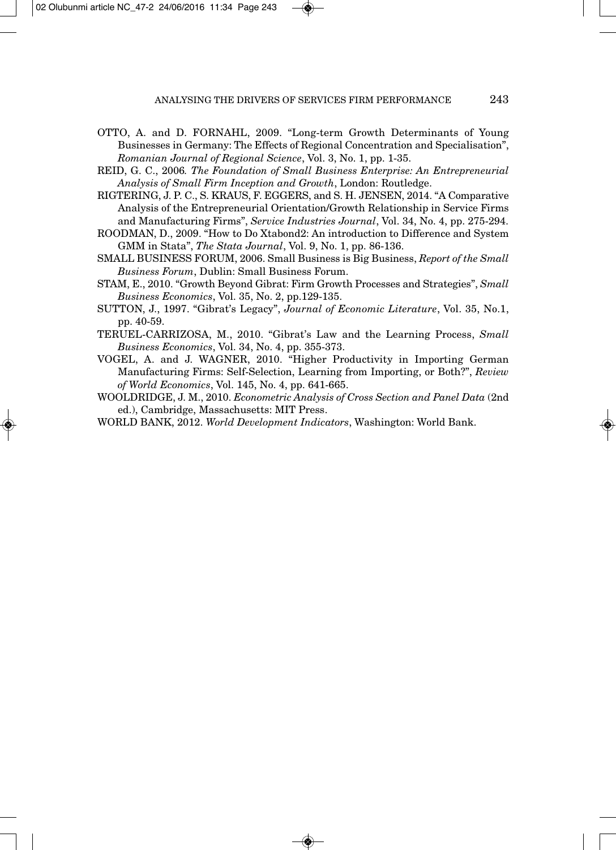- OTTO, A. and D. FORNAHL, 2009. "Long-term Growth Determinants of Young Businesses in Germany: The Effects of Regional Concentration and Specialisation", *Romanian Journal of Regional Science*, Vol. 3, No. 1, pp. 1-35.
- REID, G. C., 2006*. The Foundation of Small Business Enterprise: An Entrepreneurial Analysis of Small Firm Inception and Growth*, London: Routledge.
- RIGTERING, J. P. C., S. KRAUS, F. EGGERS, and S. H. JENSEN, 2014. "A Comparative Analysis of the Entrepreneurial Orientation/Growth Relationship in Service Firms and Manufacturing Firms", *Service Industries Journal*, Vol. 34, No. 4, pp. 275-294.
- ROODMAN, D., 2009. "How to Do Xtabond2: An introduction to Difference and System GMM in Stata", *The Stata Journal*, Vol. 9, No. 1, pp. 86-136.
- SMALL BUSINESS FORUM, 2006. Small Business is Big Business, *Report of the Small Business Forum*, Dublin: Small Business Forum.
- STAM, E., 2010. "Growth Beyond Gibrat: Firm Growth Processes and Strategies", *Small Business Economics*, Vol. 35, No. 2, pp.129-135.
- SUTTON, J., 1997. "Gibrat's Legacy", *Journal of Economic Literature*, Vol. 35, No.1, pp. 40-59.
- TERUEL-CARRIZOSA, M., 2010. "Gibrat's Law and the Learning Process, *Small Business Economics*, Vol. 34, No. 4, pp. 355-373.
- VOGEL, A. and J. WAGNER, 2010. "Higher Productivity in Importing German Manufacturing Firms: Self-Selection, Learning from Importing, or Both?", *Review of World Economics*, Vol. 145, No. 4, pp. 641-665.
- WOOLDRIDGE, J. M., 2010. *Econometric Analysis of Cross Section and Panel Data* (2nd ed.), Cambridge, Massachusetts: MIT Press.
- WORLD BANK, 2012. *World Development Indicators*, Washington: World Bank.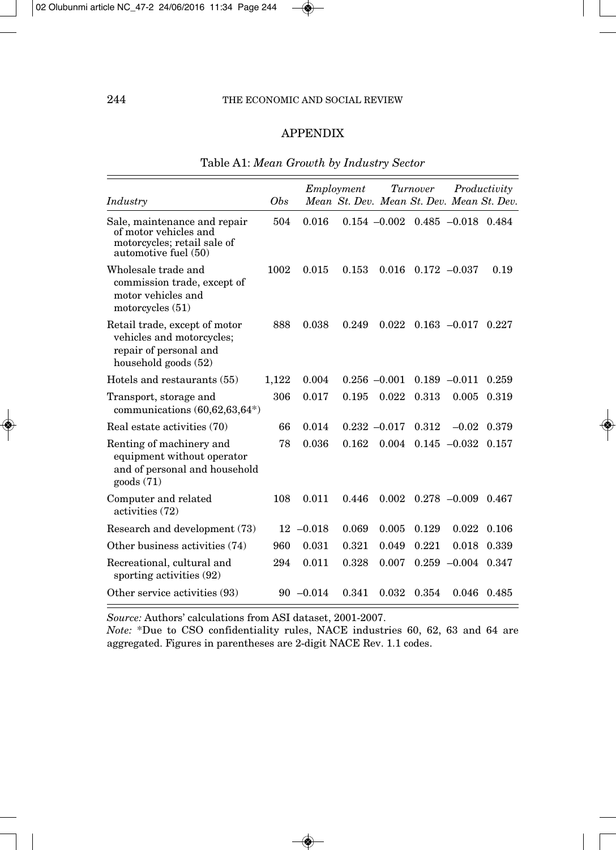# APPENDIX

| Industry                                                                                                     | <b>Obs</b> |              | Employment |                 | Turnover              |                         | Productivity<br>Mean St. Dev. Mean St. Dev. Mean St. Dev. |
|--------------------------------------------------------------------------------------------------------------|------------|--------------|------------|-----------------|-----------------------|-------------------------|-----------------------------------------------------------|
| Sale, maintenance and repair<br>of motor vehicles and<br>motorcycles; retail sale of<br>automotive fuel (50) | 504        | 0.016        |            | $0.154 - 0.002$ | $0.485 - 0.018$ 0.484 |                         |                                                           |
| Wholesale trade and<br>commission trade, except of<br>motor vehicles and<br>motorcycles $(51)$               | 1002       | 0.015        | 0.153      | 0.016           |                       | $0.172 - 0.037$         | 0.19                                                      |
| Retail trade, except of motor<br>vehicles and motorcycles;<br>repair of personal and<br>household goods (52) | 888        | 0.038        | 0.249      | 0.022           |                       | $0.163 - 0.017$ $0.227$ |                                                           |
| Hotels and restaurants (55)                                                                                  | 1,122      | 0.004        |            | $0.256 - 0.001$ |                       | $0.189 - 0.011$         | 0.259                                                     |
| Transport, storage and<br>communications $(60, 62, 63, 64*)$                                                 | 306        | 0.017        | 0.195      | 0.022           | 0.313                 | 0.005                   | 0.319                                                     |
| Real estate activities (70)                                                                                  | 66         | 0.014        |            | $0.232 - 0.017$ | 0.312                 | $-0.02$                 | 0.379                                                     |
| Renting of machinery and<br>equipment without operator<br>and of personal and household<br>goods(71)         | 78         | 0.036        | 0.162      | 0.004           |                       | $0.145 - 0.032$         | 0.157                                                     |
| Computer and related<br>activities (72)                                                                      | 108        | 0.011        | 0.446      | 0.002           |                       | $0.278 - 0.009 0.467$   |                                                           |
| Research and development (73)                                                                                |            | $12 -0.018$  | 0.069      | 0.005           | 0.129                 | 0.022                   | 0.106                                                     |
| Other business activities (74)                                                                               | 960        | 0.031        | 0.321      | 0.049           | 0.221                 | 0.018                   | 0.339                                                     |
| Recreational, cultural and<br>sporting activities (92)                                                       | 294        | 0.011        | 0.328      | 0.007           |                       | $0.259 -0.004$ $0.347$  |                                                           |
| Other service activities (93)                                                                                |            | $90 - 0.014$ | 0.341      | 0.032           | 0.354                 |                         | $0.046$ 0.485                                             |

# Table A1: *Mean Growth by Industry Sector*

*Source:* Authors' calculations from ASI dataset, 2001-2007.

*Note:* \*Due to CSO confidentiality rules, NACE industries 60, 62, 63 and 64 are aggregated. Figures in parentheses are 2-digit NACE Rev. 1.1 codes.